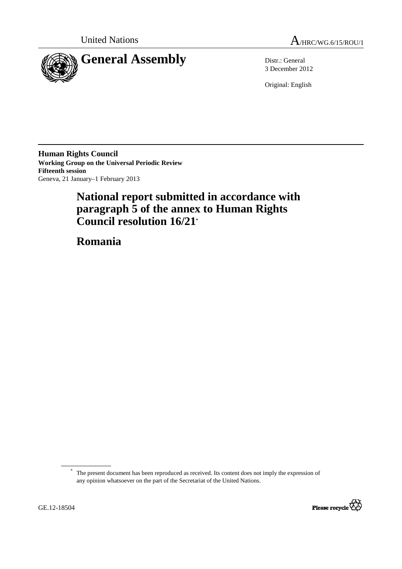



3 December 2012

Original: English

**Human Rights Council Working Group on the Universal Periodic Review Fifteenth session**  Geneva, 21 January–1 February 2013

# **National report submitted in accordance with paragraph 5 of the annex to Human Rights Council resolution 16/21\***

 **Romania** 

The present document has been reproduced as received. Its content does not imply the expression of any opinion whatsoever on the part of the Secretariat of the United Nations.



 $\overline{a}$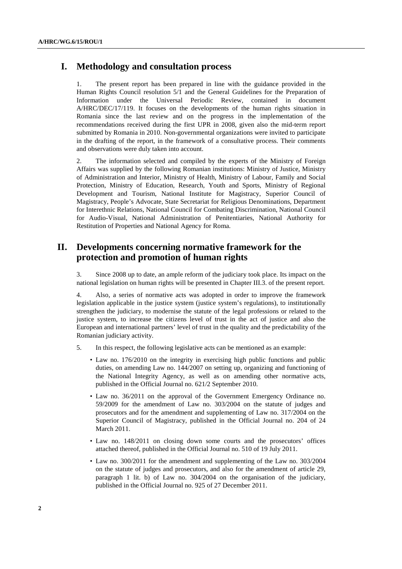# **I. Methodology and consultation process**

1. The present report has been prepared in line with the guidance provided in the Human Rights Council resolution 5/1 and the General Guidelines for the Preparation of Information under the Universal Periodic Review, contained in document A/HRC/DEC/17/119. It focuses on the developments of the human rights situation in Romania since the last review and on the progress in the implementation of the recommendations received during the first UPR in 2008, given also the mid-term report submitted by Romania in 2010. Non-governmental organizations were invited to participate in the drafting of the report, in the framework of a consultative process. Their comments and observations were duly taken into account.

2. The information selected and compiled by the experts of the Ministry of Foreign Affairs was supplied by the following Romanian institutions: Ministry of Justice, Ministry of Administration and Interior, Ministry of Health, Ministry of Labour, Family and Social Protection, Ministry of Education, Research, Youth and Sports, Ministry of Regional Development and Tourism, National Institute for Magistracy, Superior Council of Magistracy, People's Advocate, State Secretariat for Religious Denominations, Department for Interethnic Relations, National Council for Combating Discrimination, National Council for Audio-Visual, National Administration of Penitentiaries, National Authority for Restitution of Properties and National Agency for Roma.

# **II. Developments concerning normative framework for the protection and promotion of human rights**

3. Since 2008 up to date, an ample reform of the judiciary took place. Its impact on the national legislation on human rights will be presented in Chapter III.3. of the present report.

4. Also, a series of normative acts was adopted in order to improve the framework legislation applicable in the justice system (justice system's regulations), to institutionally strengthen the judiciary, to modernise the statute of the legal professions or related to the justice system, to increase the citizens level of trust in the act of justice and also the European and international partners' level of trust in the quality and the predictability of the Romanian judiciary activity.

- 5. In this respect, the following legislative acts can be mentioned as an example:
	- Law no. 176/2010 on the integrity in exercising high public functions and public duties, on amending Law no. 144/2007 on setting up, organizing and functioning of the National Integrity Agency, as well as on amending other normative acts, published in the Official Journal no. 621/2 September 2010.
	- Law no. 36/2011 on the approval of the Government Emergency Ordinance no. 59/2009 for the amendment of Law no. 303/2004 on the statute of judges and prosecutors and for the amendment and supplementing of Law no. 317/2004 on the Superior Council of Magistracy, published in the Official Journal no. 204 of 24 March 2011.
	- Law no. 148/2011 on closing down some courts and the prosecutors' offices attached thereof, published in the Official Journal no. 510 of 19 July 2011.
	- Law no. 300/2011 for the amendment and supplementing of the Law no. 303/2004 on the statute of judges and prosecutors, and also for the amendment of article 29, paragraph 1 lit. b) of Law no. 304/2004 on the organisation of the judiciary, published in the Official Journal no. 925 of 27 December 2011.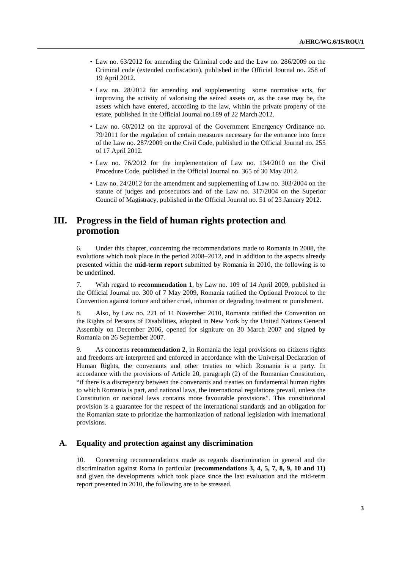- Law no. 63/2012 for amending the Criminal code and the Law no. 286/2009 on the Criminal code (extended confiscation), published in the Official Journal no. 258 of 19 April 2012.
- Law no. 28/2012 for amending and supplementing some normative acts, for improving the activity of valorising the seized assets or, as the case may be, the assets which have entered, according to the law, within the private property of the estate, published in the Official Journal no.189 of 22 March 2012.
- Law no. 60/2012 on the approval of the Government Emergency Ordinance no. 79/2011 for the regulation of certain measures necessary for the entrance into force of the Law no. 287/2009 on the Civil Code, published in the Official Journal no. 255 of 17 April 2012.
- Law no. 76/2012 for the implementation of Law no. 134/2010 on the Civil Procedure Code, published in the Official Journal no. 365 of 30 May 2012.
- Law no. 24/2012 for the amendment and supplementing of Law no. 303/2004 on the statute of judges and prosecutors and of the Law no. 317/2004 on the Superior Council of Magistracy, published in the Official Journal no. 51 of 23 January 2012.

# **III. Progress in the field of human rights protection and promotion**

6. Under this chapter, concerning the recommendations made to Romania in 2008, the evolutions which took place in the period 2008–2012, and in addition to the aspects already presented within the **mid-term report** submitted by Romania in 2010, the following is to be underlined.

7. With regard to **recommendation 1**, by Law no. 109 of 14 April 2009, published in the Official Journal no. 300 of 7 May 2009, Romania ratified the Optional Protocol to the Convention against torture and other cruel, inhuman or degrading treatment or punishment.

8. Also, by Law no. 221 of 11 November 2010, Romania ratified the Convention on the Rights of Persons of Disabilities, adopted in New York by the United Nations General Assembly on December 2006, opened for signiture on 30 March 2007 and signed by Romania on 26 September 2007.

9. As concerns **recommendation 2**, in Romania the legal provisions on citizens rights and freedoms are interpreted and enforced in accordance with the Universal Declaration of Human Rights, the convenants and other treaties to which Romania is a party. In accordance with the provisions of Article 20, paragraph (2) of the Romanian Constitution, "if there is a discrepency between the convenants and treaties on fundamental human rights to which Romania is part, and national laws, the international regulations prevail, unless the Constitution or national laws contains more favourable provisions". This constitutional provision is a guarantee for the respect of the international standards and an obligation for the Romanian state to prioritize the harmonization of national legislation with international provisions.

# **A. Equality and protection against any discrimination**

10. Concerning recommendations made as regards discrimination in general and the discrimination against Roma in particular **(recommendations 3, 4, 5, 7, 8, 9, 10 and 11)** and given the developments which took place since the last evaluation and the mid-term report presented in 2010, the following are to be stressed.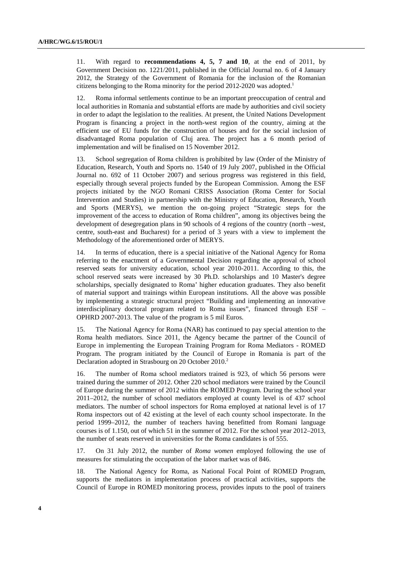11. With regard to **recommendations 4, 5, 7 and 10**, at the end of 2011, by Government Decision no. 1221/2011, published in the Official Journal no. 6 of 4 January 2012, the Strategy of the Government of Romania for the inclusion of the Romanian citizens belonging to the Roma minority for the period 2012-2020 was adopted.<sup>1</sup>

12. Roma informal settlements continue to be an important preoccupation of central and local authorities in Romania and substantial efforts are made by authorities and civil society in order to adapt the legislation to the realities. At present, the United Nations Development Program is financing a project in the north-west region of the country, aiming at the efficient use of EU funds for the construction of houses and for the social inclusion of disadvantaged Roma population of Cluj area. The project has a 6 month period of implementation and will be finalised on 15 November 2012.

13. School segregation of Roma children is prohibited by law (Order of the Ministry of Education, Research, Youth and Sports no. 1540 of 19 July 2007, published in the Official Journal no. 692 of 11 October 2007) and serious progress was registered in this field, especially through several projects funded by the European Commission. Among the ESF projects initiated by the NGO Romani CRISS Association (Roma Center for Social Intervention and Studies) in partnership with the Ministry of Education, Research, Youth and Sports (MERYS), we mention the on-going project "Strategic steps for the improvement of the access to education of Roma children", among its objectives being the development of desegregation plans in 90 schools of 4 regions of the country (north –west, centre, south-east and Bucharest) for a period of 3 years with a view to implement the Methodology of the aforementioned order of MERYS.

14. In terms of education, there is a special initiative of the National Agency for Roma referring to the enactment of a Governmental Decision regarding the approval of school reserved seats for university education, school year 2010-2011. According to this, the school reserved seats were increased by 30 Ph.D. scholarships and 10 Master's degree scholarships, specially designated to Roma' higher education graduates. They also benefit of material support and trainings within European institutions. All the above was possible by implementing a strategic structural project "Building and implementing an innovative interdisciplinary doctoral program related to Roma issues", financed through ESF – OPHRD 2007-2013. The value of the program is 5 mil Euros.

15. The National Agency for Roma (NAR) has continued to pay special attention to the Roma health mediators. Since 2011, the Agency became the partner of the Council of Europe in implementing the European Training Program for Roma Mediators - ROMED Program. The program initiated by the Council of Europe in Romania is part of the Declaration adopted in Strasbourg on 20 October 2010.<sup>2</sup>

16. The number of Roma school mediators trained is 923, of which 56 persons were trained during the summer of 2012. Other 220 school mediators were trained by the Council of Europe during the summer of 2012 within the ROMED Program. During the school year 2011–2012, the number of school mediators employed at county level is of 437 school mediators. The number of school inspectors for Roma employed at national level is of 17 Roma inspectors out of 42 existing at the level of each county school inspectorate. In the period 1999–2012, the number of teachers having benefitted from Romani language courses is of 1.150, out of which 51 in the summer of 2012. For the school year 2012–2013, the number of seats reserved in universities for the Roma candidates is of 555.

17. On 31 July 2012, the number of *Roma women* employed following the use of measures for stimulating the occupation of the labor market was of 846.

18. The National Agency for Roma, as National Focal Point of ROMED Program, supports the mediators in implementation process of practical activities, supports the Council of Europe in ROMED monitoring process, provides inputs to the pool of trainers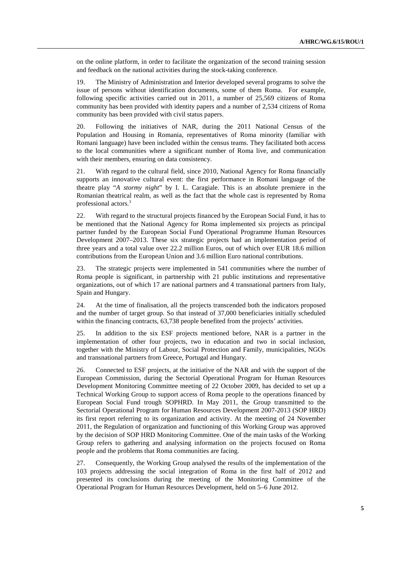on the online platform, in order to facilitate the organization of the second training session and feedback on the national activities during the stock-taking conference.

19. The Ministry of Administration and Interior developed several programs to solve the issue of persons without identification documents, some of them Roma. For example, following specific activities carried out in 2011, a number of 25,569 citizens of Roma community has been provided with identity papers and a number of 2,534 citizens of Roma community has been provided with civil status papers.

20. Following the initiatives of NAR, during the 2011 National Census of the Population and Housing in Romania, representatives of Roma minority (familiar with Romani language) have been included within the census teams. They facilitated both access to the local communities where a significant number of Roma live, and communication with their members, ensuring on data consistency.

21. With regard to the cultural field, since 2010, National Agency for Roma financially supports an innovative cultural event: the first performance in Romani language of the theatre play "*A stormy night*" by I. L. Caragiale. This is an absolute premiere in the Romanian theatrical realm, as well as the fact that the whole cast is represented by Roma professional actors.<sup>3</sup>

22. With regard to the structural projects financed by the European Social Fund, it has to be mentioned that the National Agency for Roma implemented six projects as principal partner funded by the European Social Fund Operational Programme Human Resources Development 2007–2013. These six strategic projects had an implementation period of three years and a total value over 22.2 million Euros, out of which over EUR 18.6 million contributions from the European Union and 3.6 million Euro national contributions.

23. The strategic projects were implemented in 541 communities where the number of Roma people is significant, in partnership with 21 public institutions and representative organizations, out of which 17 are national partners and 4 transnational partners from Italy, Spain and Hungary.

24. At the time of finalisation, all the projects transcended both the indicators proposed and the number of target group. So that instead of 37,000 beneficiaries initially scheduled within the financing contracts, 63,738 people benefited from the projects' activities.

25. In addition to the six ESF projects mentioned before, NAR is a partner in the implementation of other four projects, two in education and two in social inclusion, together with the Ministry of Labour, Social Protection and Family, municipalities, NGOs and transnational partners from Greece, Portugal and Hungary.

26. Connected to ESF projects, at the initiative of the NAR and with the support of the European Commission, during the Sectorial Operational Program for Human Resources Development Monitoring Committee meeting of 22 October 2009, has decided to set up a Technical Working Group to support access of Roma people to the operations financed by European Social Fund trough SOPHRD. In May 2011, the Group transmitted to the Sectorial Operational Program for Human Resources Development 2007-2013 (SOP HRD) its first report referring to its organization and activity. At the meeting of 24 November 2011, the Regulation of organization and functioning of this Working Group was approved by the decision of SOP HRD Monitoring Committee. One of the main tasks of the Working Group refers to gathering and analysing information on the projects focused on Roma people and the problems that Roma communities are facing.

27. Consequently, the Working Group analysed the results of the implementation of the 103 projects addressing the social integration of Roma in the first half of 2012 and presented its conclusions during the meeting of the Monitoring Committee of the Operational Program for Human Resources Development, held on 5–6 June 2012.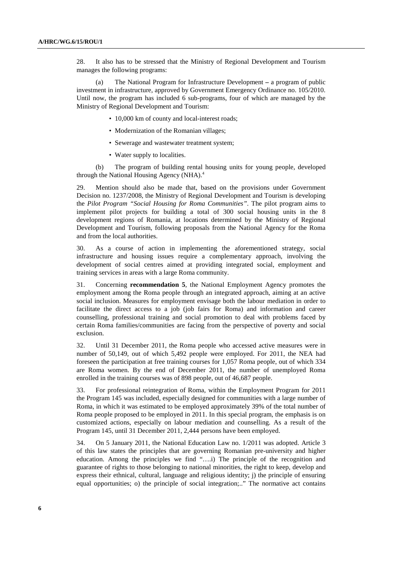28. It also has to be stressed that the Ministry of Regional Development and Tourism manages the following programs:

(a) The National Program for Infrastructure Development **–** a program of public investment in infrastructure, approved by Government Emergency Ordinance no. 105/2010. Until now, the program has included 6 sub-programs, four of which are managed by the Ministry of Regional Development and Tourism:

- 10,000 km of county and local-interest roads;
- Modernization of the Romanian villages;
- Sewerage and wastewater treatment system;
- Water supply to localities.

(b) The program of building rental housing units for young people, developed through the National Housing Agency (NHA).<sup>4</sup>

29. Mention should also be made that, based on the provisions under Government Decision no. 1237/2008, the Ministry of Regional Development and Tourism is developing the *Pilot Program "Social Housing for Roma Communities"*. The pilot program aims to implement pilot projects for building a total of 300 social housing units in the 8 development regions of Romania, at locations determined by the Ministry of Regional Development and Tourism, following proposals from the National Agency for the Roma and from the local authorities.

30. As a course of action in implementing the aforementioned strategy, social infrastructure and housing issues require a complementary approach, involving the development of social centres aimed at providing integrated social, employment and training services in areas with a large Roma community.

31. Concerning **recommendation 5**, the National Employment Agency promotes the employment among the Roma people through an integrated approach, aiming at an active social inclusion. Measures for employment envisage both the labour mediation in order to facilitate the direct access to a job (job fairs for Roma) and information and career counselling, professional training and social promotion to deal with problems faced by certain Roma families/communities are facing from the perspective of poverty and social exclusion.

32. Until 31 December 2011, the Roma people who accessed active measures were in number of 50,149, out of which 5,492 people were employed. For 2011, the NEA had foreseen the participation at free training courses for 1,057 Roma people, out of which 334 are Roma women. By the end of December 2011, the number of unemployed Roma enrolled in the training courses was of 898 people, out of 46,687 people.

33. For professional reintegration of Roma, within the Employment Program for 2011 the Program 145 was included, especially designed for communities with a large number of Roma, in which it was estimated to be employed approximately 39% of the total number of Roma people proposed to be employed in 2011. In this special program, the emphasis is on customized actions, especially on labour mediation and counselling. As a result of the Program 145, until 31 December 2011, 2,444 persons have been employed.

34. On 5 January 2011, the National Education Law no. 1/2011 was adopted. Article 3 of this law states the principles that are governing Romanian pre-university and higher education. Among the principles we find "….i) The principle of the recognition and guarantee of rights to those belonging to national minorities, the right to keep, develop and express their ethnical, cultural, language and religious identity; j) the principle of ensuring equal opportunities; o) the principle of social integration;.." The normative act contains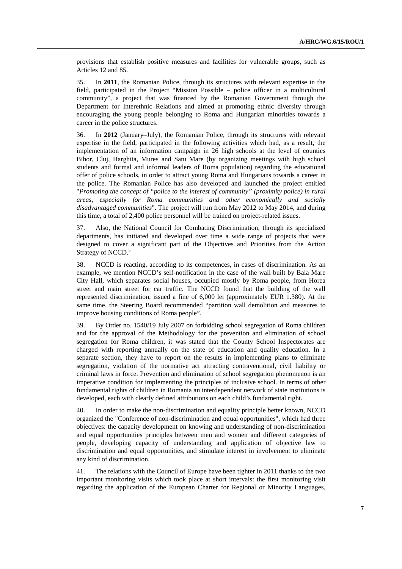provisions that establish positive measures and facilities for vulnerable groups, such as Articles 12 and 85.

35. In **2011**, the Romanian Police, through its structures with relevant expertise in the field, participated in the Project "Mission Possible – police officer in a multicultural community", a project that was financed by the Romanian Government through the Department for Interethnic Relations and aimed at promoting ethnic diversity through encouraging the young people belonging to Roma and Hungarian minorities towards a career in the police structures.

36. In **2012** (January–July), the Romanian Police, through its structures with relevant expertise in the field, participated in the following activities which had, as a result, the implementation of an information campaign in 26 high schools at the level of counties Bihor, Cluj, Harghita, Mures and Satu Mare (by organizing meetings with high school students and formal and informal leaders of Roma population) regarding the educational offer of police schools, in order to attract young Roma and Hungarians towards a career in the police. The Romanian Police has also developed and launched the project entitled "*Promoting the concept of "police to the interest of community" (proximity police) in rural areas, especially for Roma communities and other economically and socially disadvantaged communities*". The project will run from May 2012 to May 2014, and during this time, a total of 2,400 police personnel will be trained on project-related issues.

37. Also, the National Council for Combating Discrimination, through its specialized departments, has initiated and developed over time a wide range of projects that were designed to cover a significant part of the Objectives and Priorities from the Action Strategy of NCCD.<sup>5</sup>

38. NCCD is reacting, according to its competences, in cases of discrimination. As an example, we mention NCCD's self-notification in the case of the wall built by Baia Mare City Hall, which separates social houses, occupied mostly by Roma people, from Horea street and main street for car traffic. The NCCD found that the building of the wall represented discrimination, issued a fine of 6,000 lei (approximately EUR 1.380). At the same time, the Steering Board recommended "partition wall demolition and measures to improve housing conditions of Roma people".

39. By Order no. 1540/19 July 2007 on forbidding school segregation of Roma children and for the approval of the Methodology for the prevention and elimination of school segregation for Roma children, it was stated that the County School Inspectorates are charged with reporting annually on the state of education and quality education. In a separate section, they have to report on the results in implementing plans to eliminate segregation, violation of the normative act attracting contraventional, civil liability or criminal laws in force. Prevention and elimination of school segregation phenomenon is an imperative condition for implementing the principles of inclusive school. In terms of other fundamental rights of children in Romania an interdependent network of state institutions is developed, each with clearly defined attributions on each child's fundamental right.

40. In order to make the non-discrimination and equality principle better known, NCCD organized the "Conference of non-discrimination and equal opportunities", which had three objectives: the capacity development on knowing and understanding of non-discrimination and equal opportunities principles between men and women and different categories of people, developing capacity of understanding and application of objective law to discrimination and equal opportunities, and stimulate interest in involvement to eliminate any kind of discrimination.

41. The relations with the Council of Europe have been tighter in 2011 thanks to the two important monitoring visits which took place at short intervals: the first monitoring visit regarding the application of the European Charter for Regional or Minority Languages,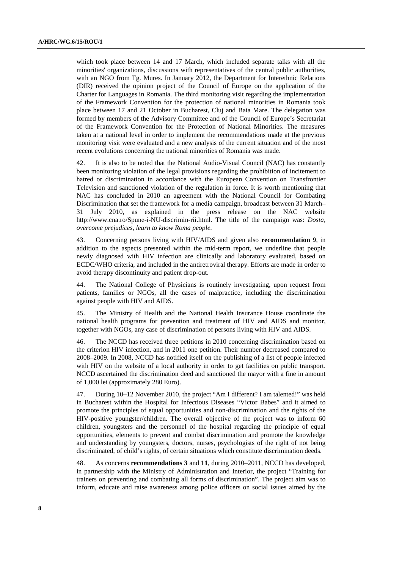which took place between 14 and 17 March, which included separate talks with all the minorities' organizations, discussions with representatives of the central public authorities, with an NGO from Tg. Mures. In January 2012, the Department for Interethnic Relations (DIR) received the opinion project of the Council of Europe on the application of the Charter for Languages in Romania. The third monitoring visit regarding the implementation of the Framework Convention for the protection of national minorities in Romania took place between 17 and 21 October in Bucharest, Cluj and Baia Mare. The delegation was formed by members of the Advisory Committee and of the Council of Europe's Secretariat of the Framework Convention for the Protection of National Minorities. The measures taken at a national level in order to implement the recommendations made at the previous monitoring visit were evaluated and a new analysis of the current situation and of the most recent evolutions concerning the national minorities of Romania was made.

42. It is also to be noted that the National Audio-Visual Council (NAC) has constantly been monitoring violation of the legal provisions regarding the prohibition of incitement to hatred or discrimination in accordance with the European Convention on Transfrontier Television and sanctioned violation of the regulation in force. It is worth mentioning that NAC has concluded in 2010 an agreement with the National Council for Combating Discrimination that set the framework for a media campaign, broadcast between 31 March– 31 July 2010, as explained in the press release on the NAC website http://www.cna.ro/Spune-i-NU-discrimin-rii.html. The title of the campaign was: *Dosta, overcome prejudices, learn to know Roma people.*

43. Concerning persons living with HIV/AIDS and given also **recommendation 9**, in addition to the aspects presented within the mid-term report, we underline that people newly diagnosed with HIV infection are clinically and laboratory evaluated, based on ECDC/WHO criteria, and included in the antiretroviral therapy. Efforts are made in order to avoid therapy discontinuity and patient drop-out.

44. The National College of Physicians is routinely investigating, upon request from patients, families or NGOs, all the cases of malpractice, including the discrimination against people with HIV and AIDS.

45. The Ministry of Health and the National Health Insurance House coordinate the national health programs for prevention and treatment of HIV and AIDS and monitor, together with NGOs, any case of discrimination of persons living with HIV and AIDS.

46. The NCCD has received three petitions in 2010 concerning discrimination based on the criterion HIV infection, and in 2011 one petition. Their number decreased compared to 2008–2009. In 2008, NCCD has notified itself on the publishing of a list of people infected with HIV on the website of a local authority in order to get facilities on public transport. NCCD ascertained the discrimination deed and sanctioned the mayor with a fine in amount of 1,000 lei (approximately 280 Euro).

47. During 10–12 November 2010, the project "Am I different? I am talented!" was held in Bucharest within the Hospital for Infectious Diseases "Victor Babes" and it aimed to promote the principles of equal opportunities and non-discrimination and the rights of the HIV-positive youngster/children. The overall objective of the project was to inform 60 children, youngsters and the personnel of the hospital regarding the principle of equal opportunities, elements to prevent and combat discrimination and promote the knowledge and understanding by youngsters, doctors, nurses, psychologists of the right of not being discriminated, of child's rights, of certain situations which constitute discrimination deeds.

48. As concerns **recommendations 3** and **11**, during 2010–2011, NCCD has developed, in partnership with the Ministry of Administration and Interior, the project "Training for trainers on preventing and combating all forms of discrimination". The project aim was to inform, educate and raise awareness among police officers on social issues aimed by the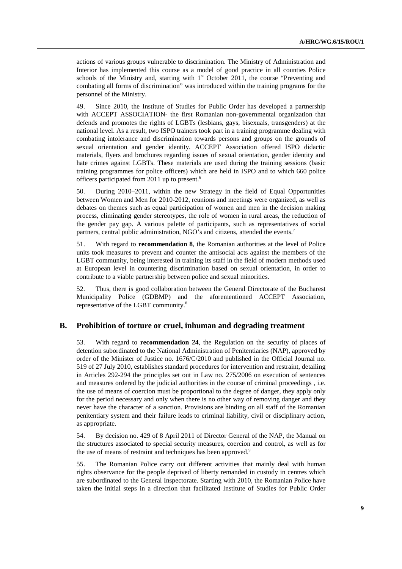actions of various groups vulnerable to discrimination. The Ministry of Administration and Interior has implemented this course as a model of good practice in all counties Police schools of the Ministry and, starting with  $1<sup>st</sup>$  October 2011, the course "Preventing and combating all forms of discrimination" was introduced within the training programs for the personnel of the Ministry.

49. Since 2010, the Institute of Studies for Public Order has developed a partnership with ACCEPT ASSOCIATION- the first Romanian non-governmental organization that defends and promotes the rights of LGBTs (lesbians, gays, bisexuals, transgenders) at the national level. As a result, two ISPO trainers took part in a training programme dealing with combating intolerance and discrimination towards persons and groups on the grounds of sexual orientation and gender identity. ACCEPT Association offered ISPO didactic materials, flyers and brochures regarding issues of sexual orientation, gender identity and hate crimes against LGBTs. These materials are used during the training sessions (basic training programmes for police officers) which are held in ISPO and to which 660 police officers participated from 2011 up to present.<sup>6</sup>

50. During 2010–2011, within the new Strategy in the field of Equal Opportunities between Women and Men for 2010-2012, reunions and meetings were organized, as well as debates on themes such as equal participation of women and men in the decision making process, eliminating gender stereotypes, the role of women in rural areas, the reduction of the gender pay gap. A various palette of participants, such as representatives of social partners, central public administration, NGO's and citizens, attended the events.<sup>7</sup>

51. With regard to **recommendation 8**, the Romanian authorities at the level of Police units took measures to prevent and counter the antisocial acts against the members of the LGBT community, being interested in training its staff in the field of modern methods used at European level in countering discrimination based on sexual orientation, in order to contribute to a viable partnership between police and sexual minorities.

52. Thus, there is good collaboration between the General Directorate of the Bucharest Municipality Police (GDBMP) and the aforementioned ACCEPT Association, representative of the LGBT community.<sup>8</sup>

# **B. Prohibition of torture or cruel, inhuman and degrading treatment**

53. With regard to **recommendation 24**, the Regulation on the security of places of detention subordinated to the National Administration of Penitentiaries (NAP), approved by order of the Minister of Justice no. 1676/C/2010 and published in the Official Journal no. 519 of 27 July 2010, establishes standard procedures for intervention and restraint, detailing in Articles 292-294 the principles set out in Law no. 275/2006 on execution of sentences and measures ordered by the judicial authorities in the course of criminal proceedings , i.e. the use of means of coercion must be proportional to the degree of danger, they apply only for the period necessary and only when there is no other way of removing danger and they never have the character of a sanction. Provisions are binding on all staff of the Romanian penitentiary system and their failure leads to criminal liability, civil or disciplinary action, as appropriate.

54. By decision no. 429 of 8 April 2011 of Director General of the NAP, the Manual on the structures associated to special security measures, coercion and control, as well as for the use of means of restraint and techniques has been approved.<sup>9</sup>

55. The Romanian Police carry out different activities that mainly deal with human rights observance for the people deprived of liberty remanded in custody in centres which are subordinated to the General Inspectorate. Starting with 2010, the Romanian Police have taken the initial steps in a direction that facilitated Institute of Studies for Public Order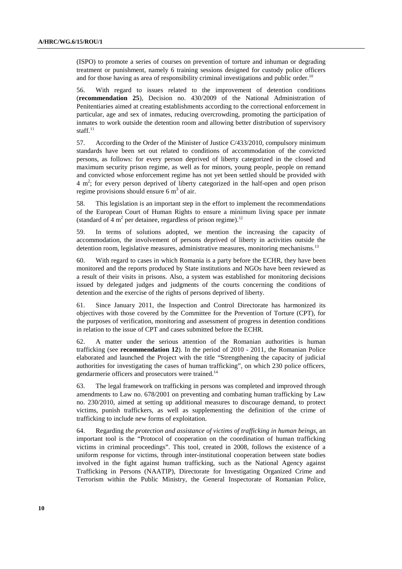(ISPO) to promote a series of courses on prevention of torture and inhuman or degrading treatment or punishment*,* namely 6 training sessions designed for custody police officers and for those having as area of responsibility criminal investigations and public order.<sup>10</sup>

56. With regard to issues related to the improvement of detention conditions (**recommendation 25**), Decision no. 430/2009 of the National Administration of Penitentiaries aimed at creating establishments according to the correctional enforcement in particular, age and sex of inmates, reducing overcrowding, promoting the participation of inmates to work outside the detention room and allowing better distribution of supervisory staff.<sup>11</sup>

57. According to the Order of the Minister of Justice C/433/2010, compulsory minimum standards have been set out related to conditions of accommodation of the convicted persons, as follows: for every person deprived of liberty categorized in the closed and maximum security prison regime, as well as for minors, young people, people on remand and convicted whose enforcement regime has not yet been settled should be provided with  $4 \text{ m}^2$ ; for every person deprived of liberty categorized in the half-open and open prison regime provisions should ensure  $6 \text{ m}^3$  of air.

58. This legislation is an important step in the effort to implement the recommendations of the European Court of Human Rights to ensure a minimum living space per inmate (standard of 4  $m^2$  per detainee, regardless of prison regime).<sup>12</sup>

59. In terms of solutions adopted, we mention the increasing the capacity of accommodation, the involvement of persons deprived of liberty in activities outside the detention room, legislative measures, administrative measures, monitoring mechanisms.<sup>13</sup>

60. With regard to cases in which Romania is a party before the ECHR, they have been monitored and the reports produced by State institutions and NGOs have been reviewed as a result of their visits in prisons. Also, a system was established for monitoring decisions issued by delegated judges and judgments of the courts concerning the conditions of detention and the exercise of the rights of persons deprived of liberty.

61. Since January 2011, the Inspection and Control Directorate has harmonized its objectives with those covered by the Committee for the Prevention of Torture (CPT), for the purposes of verification, monitoring and assessment of progress in detention conditions in relation to the issue of CPT and cases submitted before the ECHR.

62. A matter under the serious attention of the Romanian authorities is human trafficking (see **recommendation 12**). In the period of 2010 - 2011, the Romanian Police elaborated and launched the Project with the title "Strengthening the capacity of judicial authorities for investigating the cases of human trafficking", on which 230 police officers, gendarmerie officers and prosecutors were trained.<sup>14</sup>

63. The legal framework on trafficking in persons was completed and improved through amendments to Law no. 678/2001 on preventing and combating human trafficking by Law no. 230/2010, aimed at setting up additional measures to discourage demand, to protect victims, punish traffickers, as well as supplementing the definition of the crime of trafficking to include new forms of exploitation.

64. Regarding *the protection and assistance of victims of trafficking in human beings,* an important tool is the "Protocol of cooperation on the coordination of human trafficking victims in criminal proceedings". This tool, created in 2008, follows the existence of a uniform response for victims, through inter-institutional cooperation between state bodies involved in the fight against human trafficking, such as the National Agency against Trafficking in Persons (NAATIP), Directorate for Investigating Organized Crime and Terrorism within the Public Ministry, the General Inspectorate of Romanian Police,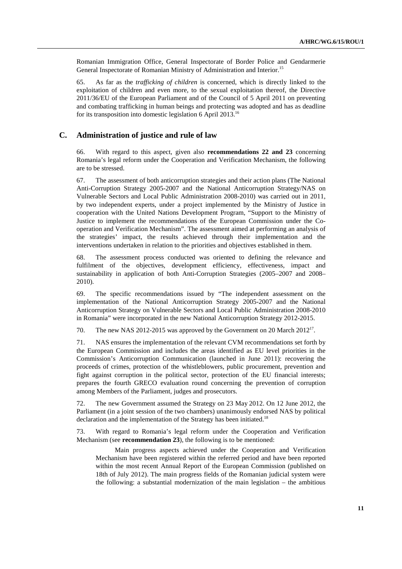Romanian Immigration Office, General Inspectorate of Border Police and Gendarmerie General Inspectorate of Romanian Ministry of Administration and Interior.<sup>15</sup>

65. As far as the *trafficking of children* is concerned, which is directly linked to the exploitation of children and even more, to the sexual exploitation thereof, the Directive 2011/36/EU of the European Parliament and of the Council of 5 April 2011 on preventing and combating trafficking in human beings and protecting was adopted and has as deadline for its transposition into domestic legislation 6 April 2013.<sup>16</sup>

### **C. Administration of justice and rule of law**

66. With regard to this aspect, given also **recommendations 22 and 23** concerning Romania's legal reform under the Cooperation and Verification Mechanism, the following are to be stressed.

67. The assessment of both anticorruption strategies and their action plans (The National Anti-Corruption Strategy 2005-2007 and the National Anticorruption Strategy/NAS on Vulnerable Sectors and Local Public Administration 2008-2010) was carried out in 2011, by two independent experts, under a project implemented by the Ministry of Justice in cooperation with the United Nations Development Program, "Support to the Ministry of Justice to implement the recommendations of the European Commission under the Cooperation and Verification Mechanism". The assessment aimed at performing an analysis of the strategies' impact, the results achieved through their implementation and the interventions undertaken in relation to the priorities and objectives established in them.

68. The assessment process conducted was oriented to defining the relevance and fulfilment of the objectives, development efficiency, effectiveness, impact and sustainability in application of both Anti-Corruption Strategies (2005–2007 and 2008– 2010).

69. The specific recommendations issued by "The independent assessment on the implementation of the National Anticorruption Strategy 2005-2007 and the National Anticorruption Strategy on Vulnerable Sectors and Local Public Administration 2008-2010 in Romania" were incorporated in the new National Anticorruption Strategy 2012-2015.

70. The new NAS 2012-2015 was approved by the Government on 20 March  $2012^{17}$ .

71. NAS ensures the implementation of the relevant CVM recommendations set forth by the European Commission and includes the areas identified as EU level priorities in the Commission's Anticorruption Communication (launched in June 2011): recovering the proceeds of crimes, protection of the whistleblowers, public procurement, prevention and fight against corruption in the political sector, protection of the EU financial interests; prepares the fourth GRECO evaluation round concerning the prevention of corruption among Members of the Parliament, judges and prosecutors.

72. The new Government assumed the Strategy on 23 May 2012. On 12 June 2012, the Parliament (in a joint session of the two chambers) unanimously endorsed NAS by political declaration and the implementation of the Strategy has been initiated.<sup>18</sup>

73. With regard to Romania's legal reform under the Cooperation and Verification Mechanism (see **recommendation 23**), the following is to be mentioned:

Main progress aspects achieved under the Cooperation and Verification Mechanism have been registered within the referred period and have been reported within the most recent Annual Report of the European Commission (published on 18th of July 2012). The main progress fields of the Romanian judicial system were the following: a substantial modernization of the main legislation – the ambitious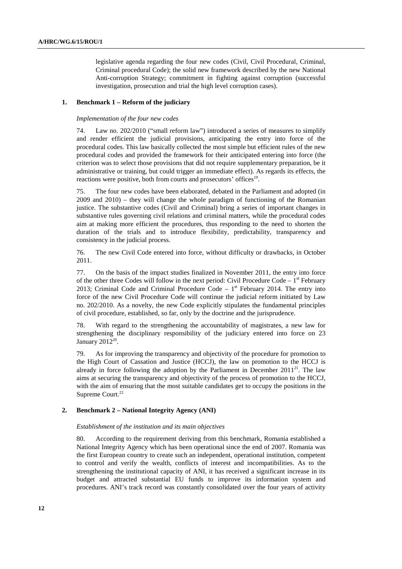legislative agenda regarding the four new codes (Civil, Civil Procedural, Criminal, Criminal procedural Code); the solid new framework described by the new National Anti-corruption Strategy; commitment in fighting against corruption (successful investigation, prosecution and trial the high level corruption cases).

#### **1. Benchmark 1 – Reform of the judiciary**

#### *Implementation of the four new codes*

74. Law no. 202/2010 ("small reform law") introduced a series of measures to simplify and render efficient the judicial provisions, anticipating the entry into force of the procedural codes. This law basically collected the most simple but efficient rules of the new procedural codes and provided the framework for their anticipated entering into force (the criterion was to select those provisions that did not require supplementary preparation, be it administrative or training, but could trigger an immediate effect). As regards its effects, the reactions were positive, both from courts and prosecutors' offices<sup>19</sup>.

75. The four new codes have been elaborated, debated in the Parliament and adopted (in 2009 and 2010) – they will change the whole paradigm of functioning of the Romanian justice. The substantive codes (Civil and Criminal) bring a series of important changes in substantive rules governing civil relations and criminal matters, while the procedural codes aim at making more efficient the procedures, thus responding to the need to shorten the duration of the trials and to introduce flexibility, predictability, transparency and consistency in the judicial process.

76. The new Civil Code entered into force, without difficulty or drawbacks, in October 2011.

77. On the basis of the impact studies finalized in November 2011, the entry into force of the other three Codes will follow in the next period: Civil Procedure Code  $-1<sup>st</sup>$  February 2013; Criminal Code and Criminal Procedure Code  $-1<sup>st</sup>$  February 2014. The entry into force of the new Civil Procedure Code will continue the judicial reform initiated by Law no. 202/2010. As a novelty, the new Code explicitly stipulates the fundamental principles of civil procedure, established, so far, only by the doctrine and the jurisprudence.

78. With regard to the strengthening the accountability of magistrates, a new law for strengthening the disciplinary responsibility of the judiciary entered into force on 23 January  $2012^{20}$ .

79. As for improving the transparency and objectivity of the procedure for promotion to the High Court of Cassation and Justice (HCCJ), the law on promotion to the HCCJ is already in force following the adoption by the Parliament in December  $2011^{21}$ . The law aims at securing the transparency and objectivity of the process of promotion to the HCCJ, with the aim of ensuring that the most suitable candidates get to occupy the positions in the Supreme Court.<sup>22</sup>

## **2. Benchmark 2 – National Integrity Agency (ANI)**

#### *Establishment of the institution and its main objectives*

80. According to the requirement deriving from this benchmark, Romania established a National Integrity Agency which has been operational since the end of 2007. Romania was the first European country to create such an independent, operational institution, competent to control and verify the wealth, conflicts of interest and incompatibilities. As to the strengthening the institutional capacity of ANI, it has received a significant increase in its budget and attracted substantial EU funds to improve its information system and procedures. ANI's track record was constantly consolidated over the four years of activity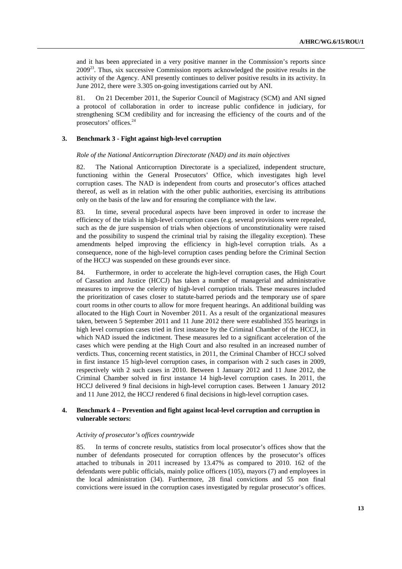and it has been appreciated in a very positive manner in the Commission's reports since  $2009^{23}$ . Thus, six successive Commission reports acknowledged the positive results in the activity of the Agency. ANI presently continues to deliver positive results in its activity. In June 2012, there were 3.305 on-going investigations carried out by ANI.

81. On 21 December 2011, the Superior Council of Magistracy (SCM) and ANI signed a protocol of collaboration in order to increase public confidence in judiciary, for strengthening SCM credibility and for increasing the efficiency of the courts and of the prosecutors' offices.<sup>24</sup>

#### **3. Benchmark 3 - Fight against high-level corruption**

#### *Role of the National Anticorruption Directorate (NAD) and its main objectives*

82. The National Anticorruption Directorate is a specialized, independent structure, functioning within the General Prosecutors' Office, which investigates high level corruption cases. The NAD is independent from courts and prosecutor's offices attached thereof, as well as in relation with the other public authorities, exercising its attributions only on the basis of the law and for ensuring the compliance with the law.

83. In time, several procedural aspects have been improved in order to increase the efficiency of the trials in high-level corruption cases (e.g. several provisions were repealed, such as the de jure suspension of trials when objections of unconstitutionality were raised and the possibility to suspend the criminal trial by raising the illegality exception). These amendments helped improving the efficiency in high-level corruption trials. As a consequence, none of the high-level corruption cases pending before the Criminal Section of the HCCJ was suspended on these grounds ever since.

84. Furthermore, in order to accelerate the high-level corruption cases, the High Court of Cassation and Justice (HCCJ) has taken a number of managerial and administrative measures to improve the celerity of high-level corruption trials. These measures included the prioritization of cases closer to statute-barred periods and the temporary use of spare court rooms in other courts to allow for more frequent hearings. An additional building was allocated to the High Court in November 2011. As a result of the organizational measures taken, between 5 September 2011 and 11 June 2012 there were established 355 hearings in high level corruption cases tried in first instance by the Criminal Chamber of the HCCJ, in which NAD issued the indictment. These measures led to a significant acceleration of the cases which were pending at the High Court and also resulted in an increased number of verdicts. Thus, concerning recent statistics, in 2011, the Criminal Chamber of HCCJ solved in first instance 15 high-level corruption cases, in comparison with 2 such cases in 2009, respectively with 2 such cases in 2010. Between 1 January 2012 and 11 June 2012, the Criminal Chamber solved in first instance 14 high-level corruption cases. In 2011, the HCCJ delivered 9 final decisions in high-level corruption cases. Between 1 January 2012 and 11 June 2012, the HCCJ rendered 6 final decisions in high-level corruption cases.

## **4. Benchmark 4 – Prevention and fight against local-level corruption and corruption in vulnerable sectors:**

#### *Activity of prosecutor's offices countrywide*

85. In terms of concrete results, statistics from local prosecutor's offices show that the number of defendants prosecuted for corruption offences by the prosecutor's offices attached to tribunals in 2011 increased by 13.47% as compared to 2010. 162 of the defendants were public officials, mainly police officers (105), mayors (7) and employees in the local administration (34). Furthermore, 28 final convictions and 55 non final convictions were issued in the corruption cases investigated by regular prosecutor's offices.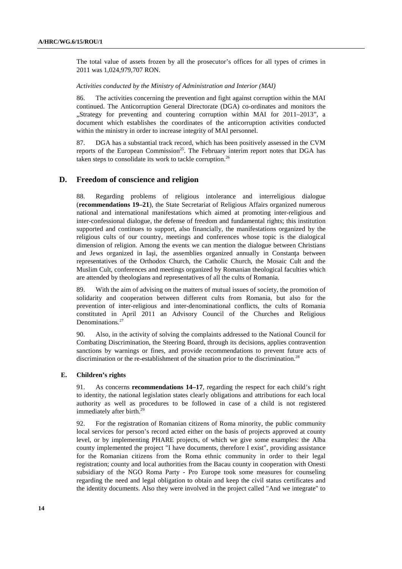The total value of assets frozen by all the prosecutor's offices for all types of crimes in 2011 was 1,024,979,707 RON.

#### *Activities conducted by the Ministry of Administration and Interior (MAI)*

86. The activities concerning the prevention and fight against corruption within the MAI continued. The Anticorruption General Directorate (DGA) co-ordinates and monitors the "Strategy for preventing and countering corruption within MAI for 2011–2013", a document which establishes the coordinates of the anticorruption activities conducted within the ministry in order to increase integrity of MAI personnel.

87. DGA has a substantial track record, which has been positively assessed in the CVM reports of the European Commission<sup>25</sup>. The February interim report notes that DGA has taken steps to consolidate its work to tackle corruption.<sup>26</sup>

#### **D. Freedom of conscience and religion**

88. Regarding problems of religious intolerance and interreligious dialogue (**recommendations 19–21**), the State Secretariat of Religious Affairs organized numerous national and international manifestations which aimed at promoting inter-religious and inter-confessional dialogue, the defense of freedom and fundamental rights; this institution supported and continues to support, also financially, the manifestations organized by the religious cults of our country, meetings and conferences whose topic is the dialogical dimension of religion. Among the events we can mention the dialogue between Christians and Jews organized in Iași, the assemblies organized annually in Constanta between representatives of the Orthodox Church, the Catholic Church, the Mosaic Cult and the Muslim Cult, conferences and meetings organized by Romanian theological faculties which are attended by theologians and representatives of all the cults of Romania.

89. With the aim of advising on the matters of mutual issues of society, the promotion of solidarity and cooperation between different cults from Romania, but also for the prevention of inter-religious and inter-denominational conflicts, the cults of Romania constituted in April 2011 an Advisory Council of the Churches and Religious Denominations.<sup>27</sup>

90. Also, in the activity of solving the complaints addressed to the National Council for Combating Discrimination, the Steering Board, through its decisions, applies contravention sanctions by warnings or fines, and provide recommendations to prevent future acts of discrimination or the re-establishment of the situation prior to the discrimination.<sup>28</sup>

#### **E. Children's rights**

91. As concerns **recommendations 14–17**, regarding the respect for each child's right to identity, the national legislation states clearly obligations and attributions for each local authority as well as procedures to be followed in case of a child is not registered immediately after birth.<sup>29</sup>

92. For the registration of Romanian citizens of Roma minority, the public community local services for person's record acted either on the basis of projects approved at county level, or by implementing PHARE projects, of which we give some examples: the Alba county implemented the project "I have documents, therefore I exist", providing assistance for the Romanian citizens from the Roma ethnic community in order to their legal registration; county and local authorities from the Bacau county in cooperation with Onesti subsidiary of the NGO Roma Party - Pro Europe took some measures for counseling regarding the need and legal obligation to obtain and keep the civil status certificates and the identity documents. Also they were involved in the project called "And we integrate" to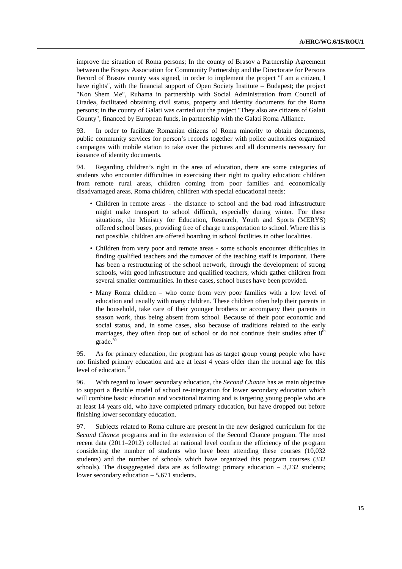improve the situation of Roma persons; In the county of Brasov a Partnership Agreement between the Braşov Association for Community Partnership and the Directorate for Persons Record of Brasov county was signed, in order to implement the project "I am a citizen, I have rights", with the financial support of Open Society Institute – Budapest; the project "Kon Shem Me", Ruhama in partnership with Social Administration from Council of Oradea, facilitated obtaining civil status, property and identity documents for the Roma persons; in the county of Galati was carried out the project "They also are citizens of Galati County", financed by European funds, in partnership with the Galati Roma Alliance.

93. In order to facilitate Romanian citizens of Roma minority to obtain documents, public community services for person's records together with police authorities organized campaigns with mobile station to take over the pictures and all documents necessary for issuance of identity documents.

94. Regarding children's right in the area of education, there are some categories of students who encounter difficulties in exercising their right to quality education: children from remote rural areas, children coming from poor families and economically disadvantaged areas, Roma children, children with special educational needs:

- Children in remote areas the distance to school and the bad road infrastructure might make transport to school difficult, especially during winter. For these situations, the Ministry for Education, Research, Youth and Sports (MERYS) offered school buses, providing free of charge transportation to school. Where this is not possible, children are offered boarding in school facilities in other localities.
- Children from very poor and remote areas some schools encounter difficulties in finding qualified teachers and the turnover of the teaching staff is important. There has been a restructuring of the school network, through the development of strong schools, with good infrastructure and qualified teachers, which gather children from several smaller communities. In these cases, school buses have been provided.
- Many Roma children who come from very poor families with a low level of education and usually with many children. These children often help their parents in the household, take care of their younger brothers or accompany their parents in season work, thus being absent from school. Because of their poor economic and social status, and, in some cases, also because of traditions related to the early marriages, they often drop out of school or do not continue their studies after  $8<sup>th</sup>$ grade.<sup>30</sup>

95. As for primary education, the program has as target group young people who have not finished primary education and are at least 4 years older than the normal age for this level of education.<sup>31</sup>

96. With regard to lower secondary education, the *Second Chance* has as main objective to support a flexible model of school re-integration for lower secondary education which will combine basic education and vocational training and is targeting young people who are at least 14 years old, who have completed primary education, but have dropped out before finishing lower secondary education.

97. Subjects related to Roma culture are present in the new designed curriculum for the *Second Chance* programs and in the extension of the Second Chance program. The most recent data (2011–2012) collected at national level confirm the efficiency of the program considering the number of students who have been attending these courses (10,032 students) and the number of schools which have organized this program courses (332 schools). The disaggregated data are as following: primary education  $-3,232$  students; lower secondary education – 5,671 students.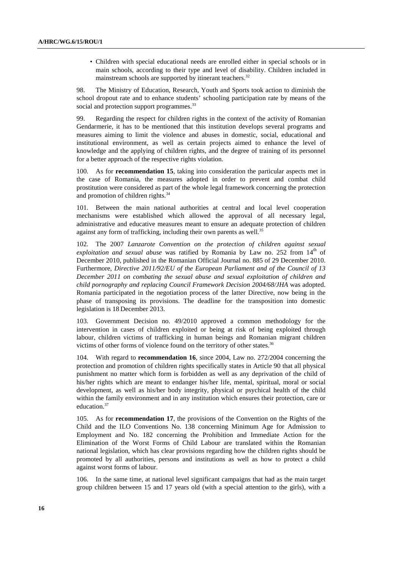• Children with special educational needs are enrolled either in special schools or in main schools, according to their type and level of disability. Children included in mainstream schools are supported by itinerant teachers.<sup>32</sup>

98. The Ministry of Education, Research, Youth and Sports took action to diminish the school dropout rate and to enhance students' schooling participation rate by means of the social and protection support programmes.<sup>33</sup>

99. Regarding the respect for children rights in the context of the activity of Romanian Gendarmerie, it has to be mentioned that this institution develops several programs and measures aiming to limit the violence and abuses in domestic, social, educational and institutional environment, as well as certain projects aimed to enhance the level of knowledge and the applying of children rights, and the degree of training of its personnel for a better approach of the respective rights violation.

100. As for **recommendation 15**, taking into consideration the particular aspects met in the case of Romania, the measures adopted in order to prevent and combat child prostitution were considered as part of the whole legal framework concerning the protection and promotion of children rights.<sup>34</sup>

101. Between the main national authorities at central and local level cooperation mechanisms were established which allowed the approval of all necessary legal, administrative and educative measures meant to ensure an adequate protection of children against any form of trafficking, including their own parents as well.<sup>35</sup>

102. The 2007 *Lanzarote Convention on the protection of children against sexual exploitation and sexual abuse* was ratified by Romania by Law no. 252 from 14<sup>th</sup> of December 2010, published in the Romanian Official Journal no. 885 of 29 December 2010. Furthermore, *Directive 2011/92/EU of the European Parliament and of the Council of 13 December 2011 on combating the sexual abuse and sexual exploitation of children and child pornography and replacing Council Framework Decision 2004/68/JHA* was adopted. Romania participated in the negotiation process of the latter Directive, now being in the phase of transposing its provisions. The deadline for the transposition into domestic legislation is 18 December 2013.

103. Government Decision no. 49/2010 approved a common methodology for the intervention in cases of children exploited or being at risk of being exploited through labour, children victims of trafficking in human beings and Romanian migrant children victims of other forms of violence found on the territory of other states.<sup>36</sup>

104. With regard to **recommendation 16**, since 2004, Law no. 272/2004 concerning the protection and promotion of children rights specifically states in Article 90 that all physical punishment no matter which form is forbidden as well as any deprivation of the child of his/her rights which are meant to endanger his/her life, mental, spiritual, moral or social development, as well as his/her body integrity, physical or psychical health of the child within the family environment and in any institution which ensures their protection, care or education.<sup>37</sup>

105. As for **recommendation 17**, the provisions of the Convention on the Rights of the Child and the ILO Conventions No. 138 concerning Minimum Age for Admission to Employment and No. 182 concerning the Prohibition and Immediate Action for the Elimination of the Worst Forms of Child Labour are translated within the Romanian national legislation, which has clear provisions regarding how the children rights should be promoted by all authorities, persons and institutions as well as how to protect a child against worst forms of labour.

106. In the same time, at national level significant campaigns that had as the main target group children between 15 and 17 years old (with a special attention to the girls), with a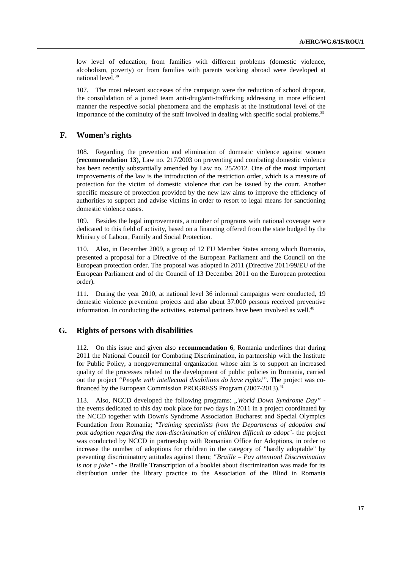low level of education, from families with different problems (domestic violence, alcoholism, poverty) or from families with parents working abroad were developed at national level.<sup>38</sup>

107. The most relevant successes of the campaign were the reduction of school dropout, the consolidation of a joined team anti-drug/anti-trafficking addressing in more efficient manner the respective social phenomena and the emphasis at the institutional level of the importance of the continuity of the staff involved in dealing with specific social problems.<sup>39</sup>

# **F. Women's rights**

108. Regarding the prevention and elimination of domestic violence against women (**recommendation 13**), Law no. 217/2003 on preventing and combating domestic violence has been recently substantially amended by Law no. 25/2012. One of the most important improvements of the law is the introduction of the restriction order, which is a measure of protection for the victim of domestic violence that can be issued by the court. Another specific measure of protection provided by the new law aims to improve the efficiency of authorities to support and advise victims in order to resort to legal means for sanctioning domestic violence cases.

109. Besides the legal improvements, a number of programs with national coverage were dedicated to this field of activity, based on a financing offered from the state budged by the Ministry of Labour, Family and Social Protection.

110. Also, in December 2009, a group of 12 EU Member States among which Romania, presented a proposal for a Directive of the European Parliament and the Council on the European protection order. The proposal was adopted in 2011 (Directive 2011/99/EU of the European Parliament and of the Council of 13 December 2011 on the European protection order).

111. During the year 2010, at national level 36 informal campaigns were conducted, 19 domestic violence prevention projects and also about 37.000 persons received preventive information. In conducting the activities, external partners have been involved as well. $40$ 

# **G. Rights of persons with disabilities**

112. On this issue and given also **recommendation 6**, Romania underlines that during 2011 the National Council for Combating Discrimination, in partnership with the Institute for Public Policy, a nongovernmental organization whose aim is to support an increased quality of the processes related to the development of public policies in Romania, carried out the project *"People with intellectual disabilities do have rights!"*. The project was cofinanced by the European Commission PROGRESS Program (2007-2013).<sup>41</sup>

113. Also, NCCD developed the following programs: *"World Down Syndrome Day"* the events dedicated to this day took place for two days in 2011 in a project coordinated by the NCCD together with Down's Syndrome Association Bucharest and Special Olympics Foundation from Romania; *"Training specialists from the Departments of adoption and post adoption regarding the non-discrimination of children difficult to adopt"-* the project was conducted by NCCD in partnership with Romanian Office for Adoptions, in order to increase the number of adoptions for children in the category of "hardly adoptable" by preventing discriminatory attitudes against them; *"Braille – Pay attention! Discrimination is not a joke"* - the Braille Transcription of a booklet about discrimination was made for its distribution under the library practice to the Association of the Blind in Romania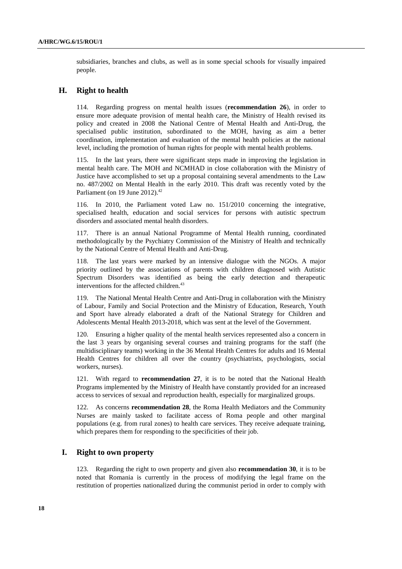subsidiaries, branches and clubs, as well as in some special schools for visually impaired people.

# **H. Right to health**

114. Regarding progress on mental health issues (**recommendation 26**), in order to ensure more adequate provision of mental health care, the Ministry of Health revised its policy and created in 2008 the National Centre of Mental Health and Anti-Drug, the specialised public institution, subordinated to the MOH, having as aim a better coordination, implementation and evaluation of the mental health policies at the national level, including the promotion of human rights for people with mental health problems.

115. In the last years, there were significant steps made in improving the legislation in mental health care. The MOH and NCMHAD in close collaboration with the Ministry of Justice have accomplished to set up a proposal containing several amendments to the Law no. 487/2002 on Mental Health in the early 2010. This draft was recently voted by the Parliament (on 19 June 2012). $42$ 

116. In 2010, the Parliament voted Law no. 151/2010 concerning the integrative, specialised health, education and social services for persons with autistic spectrum disorders and associated mental health disorders.

117. There is an annual National Programme of Mental Health running, coordinated methodologically by the Psychiatry Commission of the Ministry of Health and technically by the National Centre of Mental Health and Anti-Drug.

118. The last years were marked by an intensive dialogue with the NGOs. A major priority outlined by the associations of parents with children diagnosed with Autistic Spectrum Disorders was identified as being the early detection and therapeutic interventions for the affected children.<sup>43</sup>

119. The National Mental Health Centre and Anti-Drug in collaboration with the Ministry of Labour, Family and Social Protection and the Ministry of Education, Research, Youth and Sport have already elaborated a draft of the National Strategy for Children and Adolescents Mental Health 2013-2018, which was sent at the level of the Government.

120. Ensuring a higher quality of the mental health services represented also a concern in the last 3 years by organising several courses and training programs for the staff (the multidisciplinary teams) working in the 36 Mental Health Centres for adults and 16 Mental Health Centres for children all over the country (psychiatrists, psychologists, social workers, nurses).

121. With regard to **recommendation 27**, it is to be noted that the National Health Programs implemented by the Ministry of Health have constantly provided for an increased access to services of sexual and reproduction health, especially for marginalized groups.

122. As concerns **recommendation 28**, the Roma Health Mediators and the Community Nurses are mainly tasked to facilitate access of Roma people and other marginal populations (e.g. from rural zones) to health care services. They receive adequate training, which prepares them for responding to the specificities of their job.

## **I. Right to own property**

123. Regarding the right to own property and given also **recommendation 30**, it is to be noted that Romania is currently in the process of modifying the legal frame on the restitution of properties nationalized during the communist period in order to comply with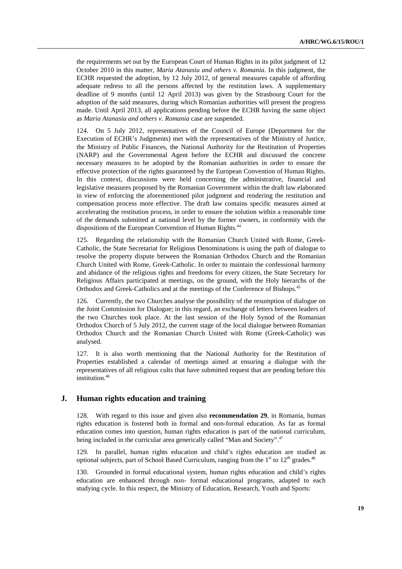the requirements set out by the European Court of Human Rights in its pilot judgment of 12 October 2010 in this matter, *Maria Atanasiu and others v. Romania*. In this judgment, the ECHR requested the adoption, by 12 July 2012, of general measures capable of affording adequate redress to all the persons affected by the restitution laws. A supplementary deadline of 9 months (until 12 April 2013) was given by the Strasbourg Court for the adoption of the said measures, during which Romanian authorities will present the progress made. Until April 2013, all applications pending before the ECHR having the same object as *Maria Atanasiu and others v. Romania* case are suspended.

124. On 5 July 2012, representatives of the Council of Europe (Department for the Execution of ECHR's Judgments) met with the representatives of the Ministry of Justice, the Ministry of Public Finances, the National Authority for the Restitution of Properties (NARP) and the Governmental Agent before the ECHR and discussed the concrete necessary measures to be adopted by the Romanian authorities in order to ensure the effective protection of the rights guaranteed by the European Convention of Human Rights. In this context, discussions were held concerning the administrative, financial and legislative measures proposed by the Romanian Government within the draft law elaborated in view of enforcing the aforementioned pilot judgment and rendering the restitution and compensation process more effective. The draft law contains specific measures aimed at accelerating the restitution process, in order to ensure the solution within a reasonable time of the demands submitted at national level by the former owners, in conformity with the dispositions of the European Convention of Human Rights.<sup>44</sup>

125. Regarding the relationship with the Romanian Church United with Rome, Greek-Catholic, the State Secretariat for Religious Denominations is using the path of dialogue to resolve the property dispute between the Romanian Orthodox Church and the Romanian Church United with Rome, Greek-Catholic. In order to maintain the confessional harmony and abidance of the religious rights and freedoms for every citizen, the State Secretary for Religious Affairs participated at meetings, on the ground, with the Holy hierarchs of the Orthodox and Greek-Catholics and at the meetings of the Conference of Bishops.<sup>45</sup>

126. Currently, the two Churches analyse the possibility of the resumption of dialogue on the Joint Commission for Dialogue; in this regard, an exchange of letters between leaders of the two Churches took place. At the last session of the Holy Synod of the Romanian Orthodox Church of 5 July 2012, the current stage of the local dialogue between Romanian Orthodox Church and the Romanian Church United with Rome (Greek-Catholic) was analysed.

127. It is also worth mentioning that the National Authority for the Restitution of Properties established a calendar of meetings aimed at ensuring a dialogue with the representatives of all religious cults that have submitted request that are pending before this institution.<sup>46</sup>

# **J. Human rights education and training**

128. With regard to this issue and given also **recommendation 29**, in Romania, human rights education is fostered both in formal and non-formal education. As far as formal education comes into question, human rights education is part of the national curriculum, being included in the curricular area generically called "Man and Society".<sup>47</sup>

129. In parallel, human rights education and child's rights education are studied as optional subjects, part of School Based Curriculum, ranging from the  $1<sup>st</sup>$  to  $12<sup>th</sup>$  grades.<sup>48</sup>

130. Grounded in formal educational system, human rights education and child's rights education are enhanced through non- formal educational programs, adapted to each studying cycle. In this respect, the Ministry of Education, Research, Youth and Sports: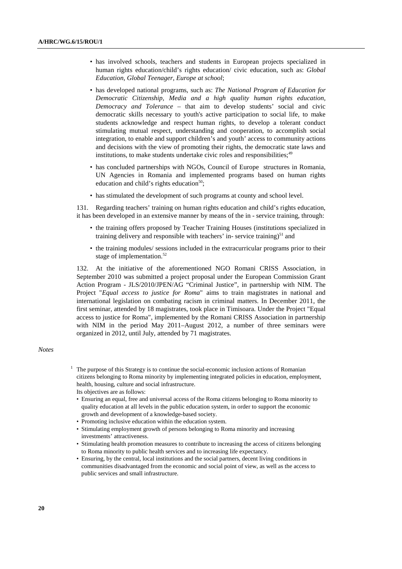- has involved schools, teachers and students in European projects specialized in human rights education/child's rights education/ civic education, such as: *Global Education, Global Teenager, Europe at school*;
- has developed national programs, such as: *The National Program of Education for Democratic Citizenship, Media and a high quality human rights education*, *Democracy and Tolerance* – that aim to develop students' social and civic democratic skills necessary to youth's active participation to social life, to make students acknowledge and respect human rights, to develop a tolerant conduct stimulating mutual respect, understanding and cooperation, to accomplish social integration, to enable and support children's and youth' access to community actions and decisions with the view of promoting their rights, the democratic state laws and institutions, to make students undertake civic roles and responsibilities;<sup>49</sup>
- has concluded partnerships with NGOs, Council of Europe structures in Romania, UN Agencies in Romania and implemented programs based on human rights education and child's rights education $50$ ;
- has stimulated the development of such programs at county and school level.

131. Regarding teachers' training on human rights education and child's rights education, it has been developed in an extensive manner by means of the in - service training, through:

- the training offers proposed by Teacher Training Houses (institutions specialized in training delivery and responsible with teachers' in-service training) $51$  and
- the training modules/ sessions included in the extracurricular programs prior to their stage of implementation. $52$

132. At the initiative of the aforementioned NGO Romani CRISS Association, in September 2010 was submitted a project proposal under the European Commission Grant Action Program - JLS/2010/JPEN/AG "Criminal Justice", in partnership with NIM. The Project "*Equal access to justice for Roma*" aims to train magistrates in national and international legislation on combating racism in criminal matters. In December 2011, the first seminar, attended by 18 magistrates, took place in Timisoara. Under the Project "Equal access to justice for Roma", implemented by the Romani CRISS Association in partnership with NIM in the period May 2011–August 2012, a number of three seminars were organized in 2012, until July, attended by 71 magistrates.

#### *Notes*

- $<sup>1</sup>$  The purpose of this Strategy is to continue the social-economic inclusion actions of Romanian</sup> citizens belonging to Roma minority by implementing integrated policies in education, employment, health, housing, culture and social infrastructure. Its objectives are as follows:
	- Ensuring an equal, free and universal access of the Roma citizens belonging to Roma minority to quality education at all levels in the public education system, in order to support the economic growth and development of a knowledge-based society.
	- Promoting inclusive education within the education system.
	- Stimulating employment growth of persons belonging to Roma minority and increasing investments' attractiveness.
	- Stimulating health promotion measures to contribute to increasing the access of citizens belonging to Roma minority to public health services and to increasing life expectancy.
	- Ensuring, by the central, local institutions and the social partners, decent living conditions in communities disadvantaged from the economic and social point of view, as well as the access to public services and small infrastructure.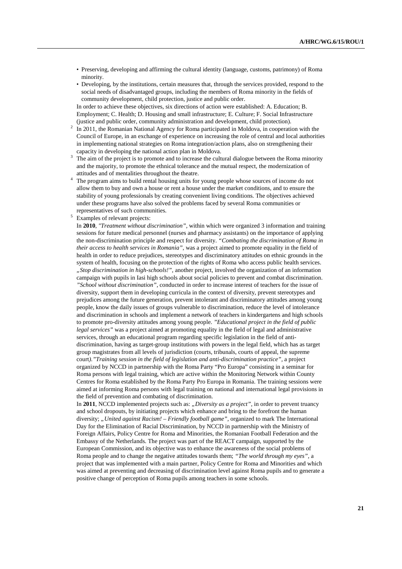- Preserving, developing and affirming the cultural identity (language, customs, patrimony) of Roma minority.
- Developing, by the institutions, certain measures that, through the services provided, respond to the social needs of disadvantaged groups, including the members of Roma minority in the fields of community development, child protection, justice and public order.

 In order to achieve these objectives, six directions of action were established: A. Education; B. Employment; C. Health; D. Housing and small infrastructure; E. Culture; F. Social Infrastructure (justice and public order, community administration and development, child protection).

- $2\;\;$  In 2011, the Romanian National Agency for Roma participated in Moldova, in cooperation with the Council of Europe, in an exchange of experience on increasing the role of central and local authorities in implementing national strategies on Roma integration/action plans, also on strengthening their capacity in developing the national action plan in Moldova.
- $3$  The aim of the project is to promote and to increase the cultural dialogue between the Roma minority and the majority, to promote the ethnical tolerance and the mutual respect, the modernization of attitudes and of mentalities throughout the theatre.
- <sup>4</sup> The program aims to build rental housing units for young people whose sources of income do not allow them to buy and own a house or rent a house under the market conditions, and to ensure the stability of young professionals by creating convenient living conditions. The objectives achieved under these programs have also solved the problems faced by several Roma communities or representatives of such communities.
- 5 Examples of relevant projects:

 In **2010**, *"Treatment without discrimination",* within which were organized 3 information and training sessions for future medical personnel (nurses and pharmacy assistants) on the importance of applying the non-discrimination principle and respect for diversity. *"Combating the discrimination of Roma in their access to health services in Romania",* was a project aimed to promote equality in the field of health in order to reduce prejudices, stereotypes and discriminatory attitudes on ethnic grounds in the system of health, focusing on the protection of the rights of Roma who access public health services. *"Stop discrimination in high-schools!",* another project, involved the organization of an information campaign with pupils in Iasi high schools about social policies to prevent and combat discrimination. *"School without discrimination",* conducted in order to increase interest of teachers for the issue of diversity, support them in developing curricula in the context of diversity, prevent stereotypes and prejudices among the future generation, prevent intolerant and discriminatory attitudes among young people, know the daily issues of groups vulnerable to discrimination, reduce the level of intolerance and discrimination in schools and implement a network of teachers in kindergartens and high schools to promote pro-diversity attitudes among young people. *"Educational project in the field of public legal services"* was a project aimed at promoting equality in the field of legal and administrative services, through an educational program regarding specific legislation in the field of antidiscrimination, having as target-group institutions with powers in the legal field, which has as target group magistrates from all levels of jurisdiction (courts, tribunals, courts of appeal, the supreme court*)."Training session in the field of legislation and anti-discrimination practice",* a project organized by NCCD in partnership with the Roma Party "Pro Europa" consisting in a seminar for Roma persons with legal training, which are active within the Monitoring Network within County Centres for Roma established by the Roma Party Pro Europa in Romania. The training sessions were aimed at informing Roma persons with legal training on national and international legal provisions in the field of prevention and combating of discrimination.

In **2011**, NCCD implemented projects such as: *"Diversity as a project"*, in order to prevent truancy and school dropouts, by initiating projects which enhance and bring to the forefront the human diversity; *"United against Racism! – Friendly football game",* organized to mark The International Day for the Elimination of Racial Discrimination, by NCCD in partnership with the Ministry of Foreign Affairs, Policy Centre for Roma and Minorities, the Romanian Football Federation and the Embassy of the Netherlands. The project was part of the REACT campaign, supported by the European Commission, and its objective was to enhance the awareness of the social problems of Roma people and to change the negative attitudes towards them; *"The world through my eyes",* a project that was implemented with a main partner, Policy Centre for Roma and Minorities and which was aimed at preventing and decreasing of discrimination level against Roma pupils and to generate a positive change of perception of Roma pupils among teachers in some schools.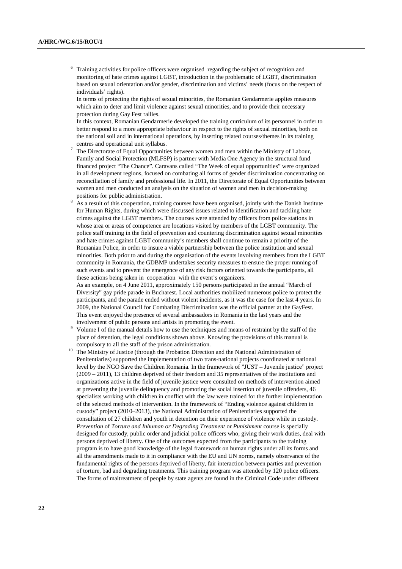<sup>6</sup> Training activities for police officers were organised regarding the subject of recognition and monitoring of hate crimes against LGBT, introduction in the problematic of LGBT, discrimination based on sexual orientation and/or gender, discrimination and victims' needs (focus on the respect of individuals' rights).

 In terms of protecting the rights of sexual minorities, the Romanian Gendarmerie applies measures which aim to deter and limit violence against sexual minorities, and to provide their necessary protection during Gay Fest rallies.

 In this context, Romanian Gendarmerie developed the training curriculum of its personnel in order to better respond to a more appropriate behaviour in respect to the rights of sexual minorities, both on the national soil and in international operations, by inserting related courses/themes in its training centres and operational unit syllabus.

- 7 The Directorate of Equal Opportunities between women and men within the Ministry of Labour, Family and Social Protection (MLFSP) is partner with Media One Agency in the structural fund financed project "The Chance". Caravans called "The Week of equal opportunities" were organized in all development regions, focused on combating all forms of gender discrimination concentrating on reconciliation of family and professional life. In 2011, the Directorate of Equal Opportunities between women and men conducted an analysis on the situation of women and men in decision-making positions for public administration.
- 8 As a result of this cooperation, training courses have been organised, jointly with the Danish Institute for Human Rights, during which were discussed issues related to identification and tackling hate crimes against the LGBT members. The courses were attended by officers from police stations in whose area or areas of competence are locations visited by members of the LGBT community. The police staff training in the field of prevention and countering discrimination against sexual minorities and hate crimes against LGBT community's members shall continue to remain a priority of the Romanian Police, in order to insure a viable partnership between the police institution and sexual minorities. Both prior to and during the organisation of the events involving members from the LGBT community in Romania, the GDBMP undertakes security measures to ensure the proper running of such events and to prevent the emergence of any risk factors oriented towards the participants, all these actions being taken in cooperation with the event's organizers.

 As an example, on 4 June 2011, approximately 150 persons participated in the annual "March of Diversity" gay pride parade in Bucharest. Local authorities mobilized numerous police to protect the participants, and the parade ended without violent incidents, as it was the case for the last 4 years. In 2009, the National Council for Combating Discrimination was the official partner at the GayFest. This event enjoyed the presence of several ambassadors in Romania in the last years and the involvement of public persons and artists in promoting the event.

- 9 Volume I of the manual details how to use the techniques and means of restraint by the staff of the place of detention, the legal conditions shown above. Knowing the provisions of this manual is compulsory to all the staff of the prison administration.
- <sup>10</sup> The Ministry of Justice (through the Probation Direction and the National Administration of Penitentiaries) supported the implementation of two trans-national projects coordinated at national level by the NGO Save the Children Romania. In the framework of "JUST – Juvenile justice" project (2009 – 2011), 13 children deprived of their freedom and 35 representatives of the institutions and organizations active in the field of juvenile justice were consulted on methods of intervention aimed at preventing the juvenile delinquency and promoting the social insertion of juvenile offenders, 46 specialists working with children in conflict with the law were trained for the further implementation of the selected methods of intervention. In the framework of "Ending violence against children in custody" project (2010–2013), the National Administration of Penitentiaries supported the consultation of 27 children and youth in detention on their experience of violence while in custody.  *Prevention* of *Torture and Inhuman or Degrading Treatment* or *Punishment* course is specially designed for custody, public order and judicial police officers who, giving their work duties, deal with persons deprived of liberty. One of the outcomes expected from the participants to the training program is to have good knowledge of the legal framework on human rights under all its forms and all the amendments made to it in compliance with the EU and UN norms, namely observance of the fundamental rights of the persons deprived of liberty, fair interaction between parties and prevention of torture, bad and degrading treatments. This training program was attended by 120 police officers. The forms of maltreatment of people by state agents are found in the Criminal Code under different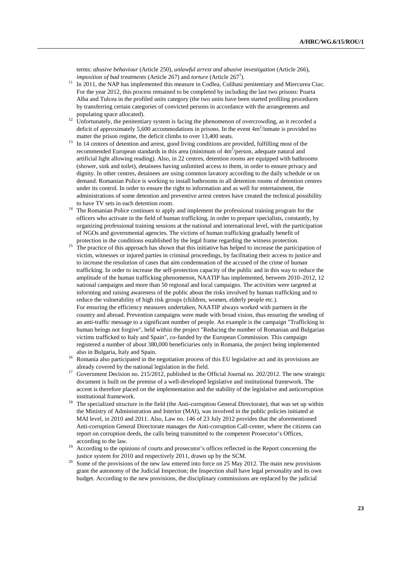terms: *abusive behaviour* (Article 250), *unlawful arrest and abusive investigation* (Article 266), *imposition of bad treatments* (Article 267) and *torture* (Article 267<sup>1</sup>).

- <sup>11</sup> In 2011, the NAP has implemented this measure in Codlea, Colibasi penitentiary and Miercurea Ciuc. For the year 2012, this process remained to be completed by including the last two prisons: Poarta Alba and Tulcea in the profiled units category (the two units have been started profiling procedures by transferring certain categories of convicted persons in accordance with the arrangements and populating space allocated).
- <sup>12</sup> Unfortunately, the penitentiary system is facing the phenomenon of overcrowding, as it recorded a deficit of approximately 5,600 accommodations in prisons. In the event  $4m^2$ /inmate is provided no matter the prison regime, the deficit climbs to over 13,400 seats.
- <sup>13</sup> In 14 centres of detention and arrest, good living conditions are provided, fulfilling most of the recommended European standards in this area (minimum of  $4m^2$ /person, adequate natural and artificial light allowing reading). Also, in 22 centres, detention rooms are equipped with bathrooms (shower, sink and toilet), detainees having unlimited access to them, in order to ensure privacy and dignity. In other centres, detainees are using common lavatory according to the daily schedule or on demand. Romanian Police is working to install bathrooms in all detention rooms of detention centres under its control. In order to ensure the right to information and as well for entertainment, the administrations of some detention and preventive arrest centres have created the technical possibility to have TV sets in each detention room.
- <sup>14</sup> The Romanian Police continues to apply and implement the professional training program for the officers who activate in the field of human trafficking, in order to prepare specialists, constantly, by organizing professional training sessions at the national and international level, with the participation of NGOs and governmental agencies. The victims of human trafficking gradually benefit of protection in the conditions established by the legal frame regarding the witness protection.
- <sup>15</sup> The practice of this approach has shown that this initiative has helped to increase the participation of victim, witnesses or injured parties in criminal proceedings, by facilitating their access to justice and to increase the resolution of cases that aim condemnation of the accused of the crime of human trafficking. In order to increase the self-protection capacity of the public and in this way to reduce the amplitude of the human trafficking phenomenon, NAATIP has implemented, between 2010–2012, 12 national campaigns and more than 50 regional and local campaigns. The activities were targeted at informing and raising awareness of the public about the risks involved by human trafficking and to reduce the vulnerability of high risk groups (children, women, elderly people etc.). For ensuring the efficiency measures undertaken, NAATIP always worked with partners in the country and abroad. Prevention campaigns were made with broad vision, thus ensuring the sending of an anti-traffic message to a significant number of people. An example is the campaign "Trafficking in human beings not forgive", held within the project "Reducing the number of Romanian and Bulgarian victims trafficked to Italy and Spain", co-funded by the European Commission. This campaign registered a number of about 380,000 beneficiaries only in Romania, the project being implemented also in Bulgaria, Italy and Spain.
- <sup>16</sup> Romania also participated in the negotiation process of this EU legislative act and its provisions are already covered by the national legislation in the field.
- <sup>17</sup> Government Decision no. 215/2012, published in the Official Journal no. 202/2012. The new strategic document is built on the premise of a well-developed legislative and institutional framework. The accent is therefore placed on the implementation and the stability of the legislative and anticorruption institutional framework.
- <sup>18</sup> The specialized structure in the field (the Anti-corruption General Directorate), that was set up within the Ministry of Administration and Interior (MAI), was involved in the public policies initiated at MAI level, in 2010 and 2011. Also, Law no. 146 of 23 July 2012 provides that the aforementioned Anti-corruption General Directorate manages the Anti-corruption Call-center, where the citizens can report on corruption deeds, the calls being transmitted to the competent Prosecutor's Offices, according to the law.
- <sup>19</sup> According to the opinions of courts and prosecutor's offices reflected in the Report concerning the justice system for 2010 and respectively 2011, drawn up by the SCM.
- <sup>20</sup> Some of the provisions of the new law entered into force on 25 May 2012. The main new provisions grant the autonomy of the Judicial Inspection; the Inspection shall have legal personality and its own budget. According to the new provisions, the disciplinary commissions are replaced by the judicial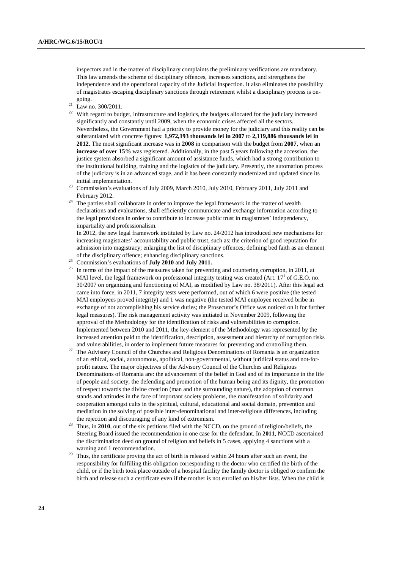inspectors and in the matter of disciplinary complaints the preliminary verifications are mandatory. This law amends the scheme of disciplinary offences, increases sanctions, and strengthens the independence and the operational capacity of the Judicial Inspection. It also eliminates the possibility of magistrates escaping disciplinary sanctions through retirement whilst a disciplinary process is ongoing.

 $^{21}$  Law no. 300/2011.

<sup>22</sup> With regard to budget, infrastructure and logistics, the budgets allocated for the judiciary increased significantly and constantly until 2009, when the economic crises affected all the sectors. Nevertheless, the Government had a priority to provide money for the judiciary and this reality can be substantiated with concrete figures: **1,972,193 thousands lei in 2007** to **2,119,886 thousands lei in 2012**. The most significant increase was in **2008** in comparison with the budget from **2007**, when an **increase of over 15%** was registered. Additionally, in the past 5 years following the accession, the justice system absorbed a significant amount of assistance funds, which had a strong contribution to the institutional building, training and the logistics of the judiciary. Presently, the automation process of the judiciary is in an advanced stage, and it has been constantly modernized and updated since its initial implementation.

- <sup>23</sup> Commission's evaluations of July 2009, March 2010, July 2010, February 2011, July 2011 and February 2012.
- <sup>24</sup> The parties shall collaborate in order to improve the legal framework in the matter of wealth declarations and evaluations, shall efficiently communicate and exchange information according to the legal provisions in order to contribute to increase public trust in magistrates' independency, impartiality and professionalism.

 In 2012, the new legal framework instituted by Law no. 24/2012 has introduced new mechanisms for increasing magistrates' accountability and public trust, such as: the criterion of good reputation for admission into magistracy; enlarging the list of disciplinary offences; defining bed faith as an element of the disciplinary offence; enhancing disciplinary sanctions.

- <sup>25</sup> Commission's evaluations of **July 2010** and **July 2011.**<br><sup>26</sup> In terms of the innert of the model of the flag of the state of the inner
- In terms of the impact of the measures taken for preventing and countering corruption, in 2011, at MAI level, the legal framework on professional integrity testing was created (Art.  $17<sup>1</sup>$  of G.E.O. no. 30/2007 on organizing and functioning of MAI, as modified by Law no. 38/2011). After this legal act came into force, in 2011, 7 integrity tests were performed, out of which 6 were positive (the tested MAI employees proved integrity) and 1 was negative (the tested MAI employee received bribe in exchange of not accomplishing his service duties; the Prosecutor's Office was noticed on it for further legal measures). The risk management activity was initiated in November 2009, following the approval of the Methodology for the identification of risks and vulnerabilities to corruption. Implemented between 2010 and 2011, the key-element of the Methodology was represented by the increased attention paid to the identification, description, assessment and hierarchy of corruption risks and vulnerabilities, in order to implement future measures for preventing and controlling them.
- <sup>27</sup> The Advisory Council of the Churches and Religious Denominations of Romania is an organization of an ethical, social, autonomous, apolitical, non-governmental, without juridical status and not-forprofit nature. The major objectives of the Advisory Council of the Churches and Religious Denominations of Romania are: the advancement of the belief in God and of its importance in the life of people and society, the defending and promotion of the human being and its dignity, the promotion of respect towards the divine creation (man and the surrounding nature), the adoption of common stands and attitudes in the face of important society problems, the manifestation of solidarity and cooperation amongst cults in the spiritual, cultural, educational and social domain, prevention and mediation in the solving of possible inter-denominational and inter-religious differences, including the rejection and discouraging of any kind of extremism.
- <sup>28</sup> Thus, in **2010**, out of the six petitions filed with the NCCD, on the ground of religion/beliefs, the Steering Board issued the recommendation in one case for the defendant. In **2011**, NCCD ascertained the discrimination deed on ground of religion and beliefs in 5 cases, applying 4 sanctions with a warning and 1 recommendation.
- <sup>29</sup> Thus, the certificate proving the act of birth is released within 24 hours after such an event, the responsibility for fulfilling this obligation corresponding to the doctor who certified the birth of the child, or if the birth took place outside of a hospital facility the family doctor is obliged to confirm the birth and release such a certificate even if the mother is not enrolled on his/her lists. When the child is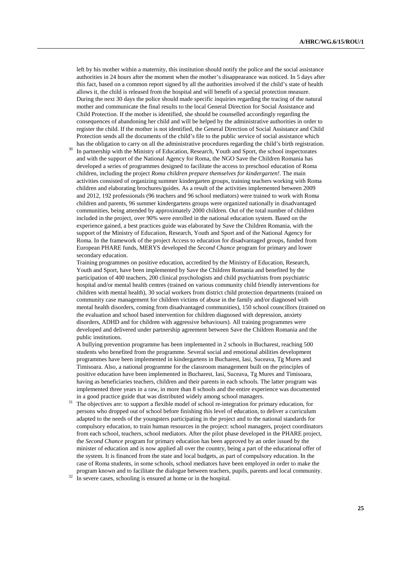left by his mother within a maternity, this institution should notify the police and the social assistance authorities in 24 hours after the moment when the mother's disappearance was noticed. In 5 days after this fact, based on a common report signed by all the authorities involved if the child's state of health allows it, the child is released from the hospital and will benefit of a special protection measure. During the next 30 days the police should made specific inquiries regarding the tracing of the natural mother and communicate the final results to the local General Direction for Social Assistance and Child Protection. If the mother is identified, she should be counselled accordingly regarding the consequences of abandoning her child and will be helped by the administrative authorities in order to register the child. If the mother is not identified, the General Direction of Social Assistance and Child Protection sends all the documents of the child's file to the public service of social assistance which has the obligation to carry on all the administrative procedures regarding the child's birth registration.

In partnership with the Ministry of Education, Research, Youth and Sport, the school inspectorates and with the support of the National Agency for Roma, the NGO Save the Children Romania has developed a series of programmes designed to facilitate the access to preschool education of Roma children, including the project *Roma children prepare themselves for kindergarten!*. The main activities consisted of organizing summer kindergarten groups, training teachers working with Roma children and elaborating brochures/guides. As a result of the activities implemented between 2009 and 2012, 192 professionals (96 teachers and 96 school mediators) were trained to work with Roma children and parents, 96 summer kindergartens groups were organized nationally in disadvantaged communities, being attended by approximately 2000 children. Out of the total number of children included in the project, over 90% were enrolled in the national education system. Based on the experience gained, a best practices guide was elaborated by Save the Children Romania, with the support of the Ministry of Education, Research, Youth and Sport and of the National Agency for Roma. In the framework of the project Access to education for disadvantaged groups, funded from European PHARE funds, MERYS developed the *Second Chance* program for primary and lower secondary education.

 Training programmes on positive education, accredited by the Ministry of Education, Research, Youth and Sport, have been implemented by Save the Children Romania and benefited by the participation of 400 teachers, 200 clinical psychologists and child psychiatrists from psychiatric hospital and/or mental health centres (trained on various community child friendly interventions for children with mental health), 30 social workers from district child protection departments (trained on community case management for children victims of abuse in the family and/or diagnosed with mental health disorders, coming from disadvantaged communities), 150 school councillors (trained on the evaluation and school based intervention for children diagnosed with depression, anxiety disorders, ADHD and for children with aggressive behaviours). All training programmes were developed and delivered under partnership agreement between Save the Children Romania and the public institutions.

 A bullying prevention programme has been implemented in 2 schools in Bucharest, reaching 500 students who benefited from the programme. Several social and emotional abilities development programmes have been implemented in kindergartens in Bucharest, Iasi, Suceava, Tg Mures and Timisoara. Also, a national programme for the classroom management built on the principles of positive education have been implemented in Bucharest, Iasi, Suceava, Tg Mures and Timisoara, having as beneficiaries teachers, children and their parents in each schools. The latter program was implemented three years in a raw, in more than 8 schools and the entire experience was documented in a good practice guide that was distributed widely among school managers.

- <sup>31</sup> The objectives are: to support a flexible model of school re-integration for primary education, for persons who dropped out of school before finishing this level of education, to deliver a curriculum adapted to the needs of the youngsters participating in the project and to the national standards for compulsory education, to train human resources in the project: school managers, project coordinators from each school, teachers, school mediators. After the pilot phase developed in the PHARE project, the *Second Chance* program for primary education has been approved by an order issued by the minister of education and is now applied all over the country, being a part of the educational offer of the system. It is financed from the state and local budgets, as part of compulsory education. In the case of Roma students, in some schools, school mediators have been employed in order to make the program known and to facilitate the dialogue between teachers, pupils, parents and local community.
- $32 \text{ h}$  severe cases, schooling is ensured at home or in the hospital.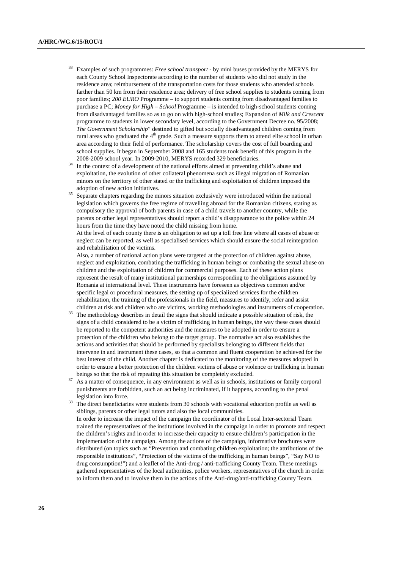- <sup>33</sup> Examples of such programmes: *Free school transport* by mini buses provided by the MERYS for each County School Inspectorate according to the number of students who did not study in the residence area; reimbursement of the transportation costs for those students who attended schools farther than 50 km from their residence area; delivery of free school supplies to students coming from poor families; *200 EURO* Programme – to support students coming from disadvantaged families to purchase a PC; *Money for High – School* Programme – is intended to high-school students coming from disadvantaged families so as to go on with high-school studies; Expansion of *Milk and Crescent* programme to students in lower secondary level, according to the Government Decree no. 95/2008; *The Government Scholarship*" destined to gifted but socially disadvantaged children coming from rural areas who graduated the  $4<sup>th</sup>$  grade. Such a measure supports them to attend elite school in urban area according to their field of performance. The scholarship covers the cost of full boarding and school supplies. It began in September 2008 and 165 students took benefit of this program in the 2008-2009 school year. In 2009-2010, MERYS recorded 329 beneficiaries.
- <sup>34</sup> In the context of a development of the national efforts aimed at preventing child's abuse and exploitation, the evolution of other collateral phenomena such as illegal migration of Romanian minors on the territory of other stated or the trafficking and exploitation of children imposed the adoption of new action initiatives.
- <sup>35</sup> Separate chapters regarding the minors situation exclusively were introduced within the national legislation which governs the free regime of travelling abroad for the Romanian citizens, stating as compulsory the approval of both parents in case of a child travels to another country, while the parents or other legal representatives should report a child's disappearance to the police within 24 hours from the time they have noted the child missing from home.

 At the level of each county there is an obligation to set up a toll free line where all cases of abuse or neglect can be reported, as well as specialised services which should ensure the social reintegration and rehabilitation of the victims.

 Also, a number of national action plans were targeted at the protection of children against abuse, neglect and exploitation, combating the trafficking in human beings or combating the sexual abuse on children and the exploitation of children for commercial purposes. Each of these action plans represent the result of many institutional partnerships corresponding to the obligations assumed by Romania at international level. These instruments have foreseen as objectives common and/or specific legal or procedural measures, the setting up of specialized services for the children rehabilitation, the training of the professionals in the field, measures to identify, refer and assist children at risk and children who are victims, working methodologies and instruments of cooperation.

- The methodology describes in detail the signs that should indicate a possible situation of risk, the signs of a child considered to be a victim of trafficking in human beings, the way these cases should be reported to the competent authorities and the measures to be adopted in order to ensure a protection of the children who belong to the target group. The normative act also establishes the actions and activities that should be performed by specialists belonging to different fields that intervene in and instrument these cases, so that a common and fluent cooperation be achieved for the best interest of the child. Another chapter is dedicated to the monitoring of the measures adopted in order to ensure a better protection of the children victims of abuse or violence or trafficking in human beings so that the risk of repeating this situation be completely excluded.
- As a matter of consequence, in any environment as well as in schools, institutions or family corporal punishments are forbidden, such an act being incriminated, if it happens, according to the penal legislation into force.
- <sup>38</sup> The direct beneficiaries were students from 30 schools with vocational education profile as well as siblings, parents or other legal tutors and also the local communities. In order to increase the impact of the campaign the coordinator of the Local Inter-sectorial Team trained the representatives of the institutions involved in the campaign in order to promote and respect the children's rights and in order to increase their capacity to ensure children's participation in the implementation of the campaign. Among the actions of the campaign, informative brochures were distributed (on topics such as "Prevention and combating children exploitation; the attributions of the responsible institutions", "Protection of the victims of the trafficking in human beings", "Say NO to drug consumption!") and a leaflet of the Anti-drug / anti-trafficking County Team. These meetings gathered representatives of the local authorities, police workers, representatives of the church in order to inform them and to involve them in the actions of the Anti-drug/anti-trafficking County Team.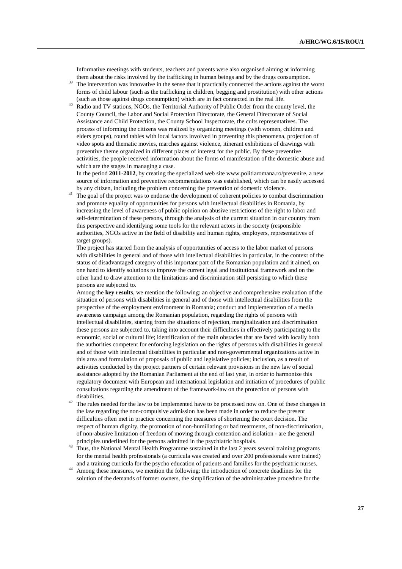Informative meetings with students, teachers and parents were also organised aiming at informing them about the risks involved by the trafficking in human beings and by the drugs consumption.

- <sup>39</sup> The intervention was innovative in the sense that it practically connected the actions against the worst forms of child labour (such as the trafficking in children, begging and prostitution) with other actions (such as those against drugs consumption) which are in fact connected in the real life.
- Radio and TV stations, NGOs, the Territorial Authority of Public Order from the county level, the County Council, the Labor and Social Protection Directorate, the General Directorate of Social Assistance and Child Protection, the County School Inspectorate, the cults representatives. The process of informing the citizens was realized by organizing meetings (with women, children and elders groups), round tables with local factors involved in preventing this phenomena, projection of video spots and thematic movies, marches against violence, itinerant exhibitions of drawings with preventive theme organized in different places of interest for the public. By these preventive activities, the people received information about the forms of manifestation of the domestic abuse and which are the stages in managing a case.

 In the period **2011-2012**, by creating the specialized web site www.politiaromana.ro/prevenire, a new source of information and preventive recommendations was established, which can be easily accessed by any citizen, including the problem concerning the prevention of domestic violence.

<sup>41</sup> The goal of the project was to endorse the development of coherent policies to combat discrimination and promote equality of opportunities for persons with intellectual disabilities in Romania, by increasing the level of awareness of public opinion on abusive restrictions of the right to labor and self-determination of these persons, through the analysis of the current situation in our country from this perspective and identifying some tools for the relevant actors in the society (responsible authorities, NGOs active in the field of disability and human rights, employers, representatives of target groups).

 The project has started from the analysis of opportunities of access to the labor market of persons with disabilities in general and of those with intellectual disabilities in particular, in the context of the status of disadvantaged category of this important part of the Romanian population and it aimed, on one hand to identify solutions to improve the current legal and institutional framework and on the other hand to draw attention to the limitations and discrimination still persisting to which these persons are subjected to.

 Among the **key results**, we mention the following: an objective and comprehensive evaluation of the situation of persons with disabilities in general and of those with intellectual disabilities from the perspective of the employment environment in Romania; conduct and implementation of a media awareness campaign among the Romanian population, regarding the rights of persons with intellectual disabilities, starting from the situations of rejection, marginalization and discrimination these persons are subjected to, taking into account their difficulties in effectively participating to the economic, social or cultural life; identification of the main obstacles that are faced with locally both the authorities competent for enforcing legislation on the rights of persons with disabilities in general and of those with intellectual disabilities in particular and non-governmental organizations active in this area and formulation of proposals of public and legislative policies; inclusion, as a result of activities conducted by the project partners of certain relevant provisions in the new law of social assistance adopted by the Romanian Parliament at the end of last year, in order to harmonize this regulatory document with European and international legislation and initiation of procedures of public consultations regarding the amendment of the framework-law on the protection of persons with disabilities.

- <sup>42</sup> The rules needed for the law to be implemented have to be processed now on. One of these changes in the law regarding the non-compulsive admission has been made in order to reduce the present difficulties often met in practice concerning the measures of shortening the court decision. The respect of human dignity, the promotion of non-humiliating or bad treatments, of non-discrimination, of non-abusive limitation of freedom of moving through contention and isolation - are the general principles underlined for the persons admitted in the psychiatric hospitals.
- <sup>43</sup> Thus, the National Mental Health Programme sustained in the last 2 years several training programs for the mental health professionals (a curricula was created and over 200 professionals were trained) and a training curricula for the psycho education of patients and families for the psychiatric nurses.
- <sup>44</sup> Among these measures, we mention the following: the introduction of concrete deadlines for the solution of the demands of former owners, the simplification of the administrative procedure for the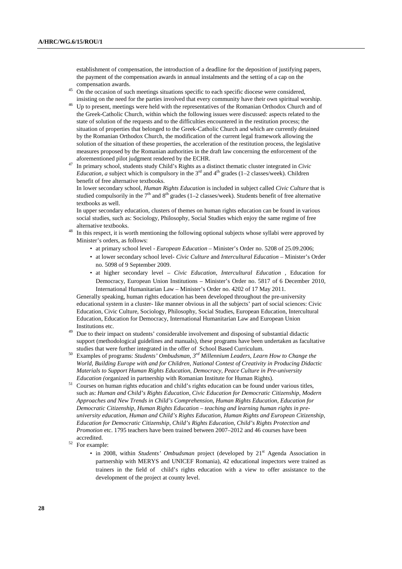establishment of compensation, the introduction of a deadline for the deposition of justifying papers, the payment of the compensation awards in annual instalments and the setting of a cap on the compensation awards.

- <sup>45</sup> On the occasion of such meetings situations specific to each specific diocese were considered, insisting on the need for the parties involved that every community have their own spiritual worship.
- Up to present, meetings were held with the representatives of the Romanian Orthodox Church and of the Greek-Catholic Church, within which the following issues were discussed: aspects related to the state of solution of the requests and to the difficulties encountered in the restitution process; the situation of properties that belonged to the Greek-Catholic Church and which are currently detained by the Romanian Orthodox Church, the modification of the current legal framework allowing the solution of the situation of these properties, the acceleration of the restitution process, the legislative measures proposed by the Romanian authorities in the draft law concerning the enforcement of the aforementioned pilot judgment rendered by the ECHR.
- <sup>47</sup> In primary school, students study Child's Rights as a distinct thematic cluster integrated in *Civic Education, a* subject which is compulsory in the  $3<sup>rd</sup>$  and  $4<sup>th</sup>$  grades (1–2 classes/week). Children benefit of free alternative textbooks.

 In lower secondary school, *Human Rights Education* is included in subject called *Civic Culture* that is studied compulsorily in the  $7<sup>th</sup>$  and  $8<sup>th</sup>$  grades (1–2 classes/week). Students benefit of free alternative textbooks as well.

 In upper secondary education, clusters of themes on human rights education can be found in various social studies, such as: Sociology, Philosophy, Social Studies which enjoy the same regime of free alternative textbooks.

- <sup>48</sup> In this respect, it is worth mentioning the following optional subjects whose syllabi were approved by Minister's orders, as follows:
	- at primary school level *European Education* Minister's Order no. 5208 of 25.09.2006;
	- at lower secondary school level- *Civic Culture* and *Intercultural Education* Minister's Order no. 5098 of 9 September 2009.
	- at higher secondary level *Civic Education, Intercultural Education ,* Education for Democracy, European Union Institutions *–* Minister's Order no. 5817 of 6 December 2010, International Humanitarian Law – Minister's Order no. 4202 of 17 May 2011.

 Generally speaking, human rights education has been developed throughout the pre-university educational system in a cluster- like manner obvious in all the subjects' part of social sciences: Civic Education, Civic Culture, Sociology, Philosophy, Social Studies, European Education, Intercultural Education, Education for Democracy, International Humanitarian Law and European Union Institutions etc.

- <sup>49</sup> Due to their impact on students' considerable involvement and disposing of substantial didactic support (methodological guidelines and manuals), these programs have been undertaken as facultative studies that were further integrated in the offer of School Based Curriculum.
- <sup>50</sup> Examples of programs: *Students' Ombudsman*, *3 rd Millennium Leaders*, *Learn How to Change the World, Building Europe with and for Children, National Contest of Creativity in Producing Didactic Materials to Support Human Rights Education, Democracy, Peace Culture in Pre-university Education (*organized in partnership with Romanian Institute for Human Rights).
- <sup>51</sup> Courses on human rights education and child's rights education can be found under various titles, such as: *Human and Child's Rights Education, Civic Education for Democratic Citizenship, Modern Approaches and New Trends in Child's Comprehension, Human Rights Education, Education for Democratic Citizenship*, *Human Rights Education – teaching and learning human rights in preuniversity education*, *Human and Child's Rights Education, Human Rights and European Citizenship, Education for Democratic Citizenship*, *Child's Rights Education, Child's Rights Protection and Promotion* etc. 1795 teachers have been trained between 2007–2012 and 46 courses have been accredited.
- <sup>52</sup> For example:
	- in 2008, within *Students' Ombudsman* project (developed by 21<sup>st</sup> Agenda Association in partnership with MERYS and UNICEF Romania), 42 educational inspectors were trained as trainers in the field of child's rights education with a view to offer assistance to the development of the project at county level.